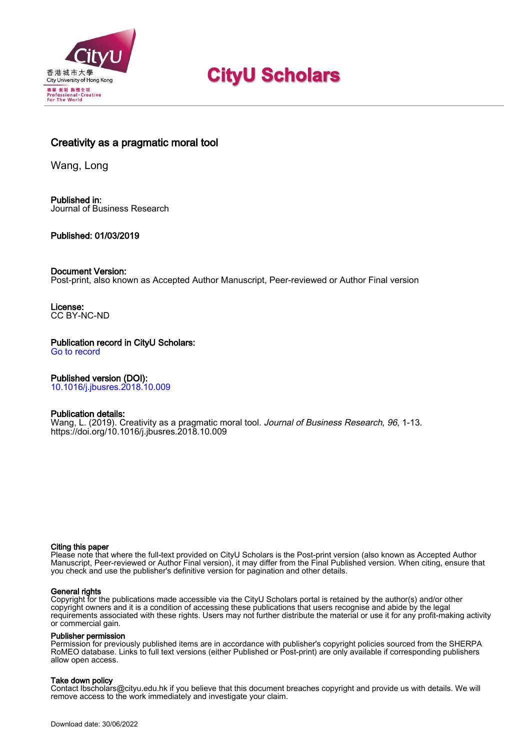

# **CityU Scholars**

# Creativity as a pragmatic moral tool

Wang, Long

Published in: Journal of Business Research

#### Published: 01/03/2019

#### Document Version:

Post-print, also known as Accepted Author Manuscript, Peer-reviewed or Author Final version

License: CC BY-NC-ND

Publication record in CityU Scholars: [Go to record](https://scholars.cityu.edu.hk/en/publications/creativity-as-a-pragmatic-moral-tool(e8f2412f-9876-4278-9e31-9db0eda01db3).html)

Published version (DOI): [10.1016/j.jbusres.2018.10.009](https://doi.org/10.1016/j.jbusres.2018.10.009)

# Publication details:

[Wang, L.](https://scholars.cityu.edu.hk/en/persons/long-wang(40e4700a-9546-4cbc-a71a-32bd454cb4f5).html) (2019). [Creativity as a pragmatic moral tool.](https://scholars.cityu.edu.hk/en/publications/creativity-as-a-pragmatic-moral-tool(e8f2412f-9876-4278-9e31-9db0eda01db3).html) [Journal of Business Research](https://scholars.cityu.edu.hk/en/journals/journal-of-business-research(f6837952-74f8-47a4-9368-20b5a68d5b66)/publications.html), 96, 1-13. <https://doi.org/10.1016/j.jbusres.2018.10.009>

#### Citing this paper

Please note that where the full-text provided on CityU Scholars is the Post-print version (also known as Accepted Author Manuscript, Peer-reviewed or Author Final version), it may differ from the Final Published version. When citing, ensure that you check and use the publisher's definitive version for pagination and other details.

#### General rights

Copyright for the publications made accessible via the CityU Scholars portal is retained by the author(s) and/or other copyright owners and it is a condition of accessing these publications that users recognise and abide by the legal requirements associated with these rights. Users may not further distribute the material or use it for any profit-making activity or commercial gain.

#### Publisher permission

Permission for previously published items are in accordance with publisher's copyright policies sourced from the SHERPA RoMEO database. Links to full text versions (either Published or Post-print) are only available if corresponding publishers allow open access.

#### Take down policy

Contact lbscholars@cityu.edu.hk if you believe that this document breaches copyright and provide us with details. We will remove access to the work immediately and investigate your claim.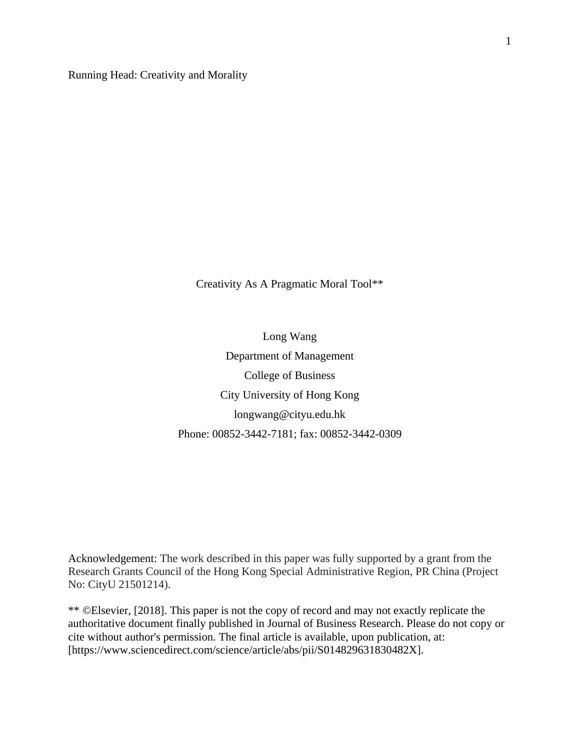Running Head: Creativity and Morality

Creativity As A Pragmatic Moral Tool\*\*

Long Wang Department of Management College of Business City University of Hong Kong longwang@cityu.edu.hk Phone: 00852-3442-7181; fax: 00852-3442-0309

Acknowledgement: The work described in this paper was fully supported by a grant from the Research Grants Council of the Hong Kong Special Administrative Region, PR China (Project No: CityU 21501214).

\*\* ©Elsevier, [2018]. This paper is not the copy of record and may not exactly replicate the authoritative document finally published in Journal of Business Research. Please do not copy or cite without author's permission. The final article is available, upon publication, at: [https://www.sciencedirect.com/science/article/abs/pii/S014829631830482X].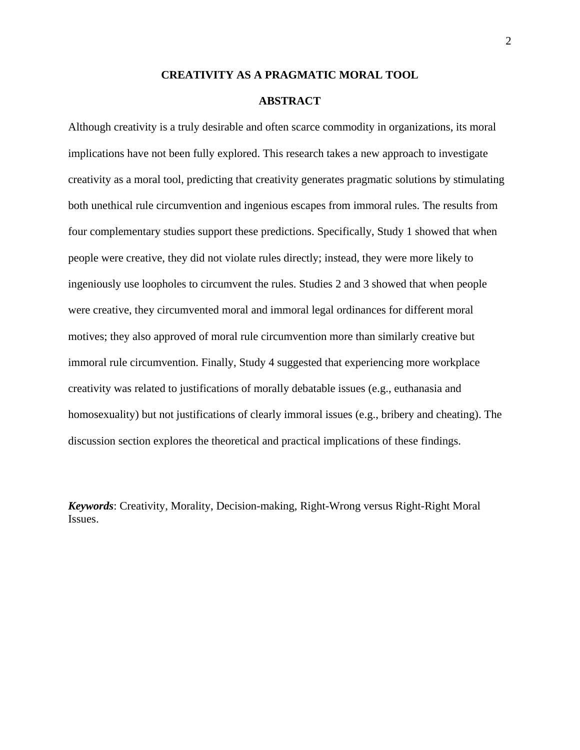#### **CREATIVITY AS A PRAGMATIC MORAL TOOL**

#### **ABSTRACT**

Although creativity is a truly desirable and often scarce commodity in organizations, its moral implications have not been fully explored. This research takes a new approach to investigate creativity as a moral tool, predicting that creativity generates pragmatic solutions by stimulating both unethical rule circumvention and ingenious escapes from immoral rules. The results from four complementary studies support these predictions. Specifically, Study 1 showed that when people were creative, they did not violate rules directly; instead, they were more likely to ingeniously use loopholes to circumvent the rules. Studies 2 and 3 showed that when people were creative, they circumvented moral and immoral legal ordinances for different moral motives; they also approved of moral rule circumvention more than similarly creative but immoral rule circumvention. Finally, Study 4 suggested that experiencing more workplace creativity was related to justifications of morally debatable issues (e.g., euthanasia and homosexuality) but not justifications of clearly immoral issues (e.g., bribery and cheating). The discussion section explores the theoretical and practical implications of these findings.

*Keywords*: Creativity, Morality, Decision-making, Right-Wrong versus Right-Right Moral Issues.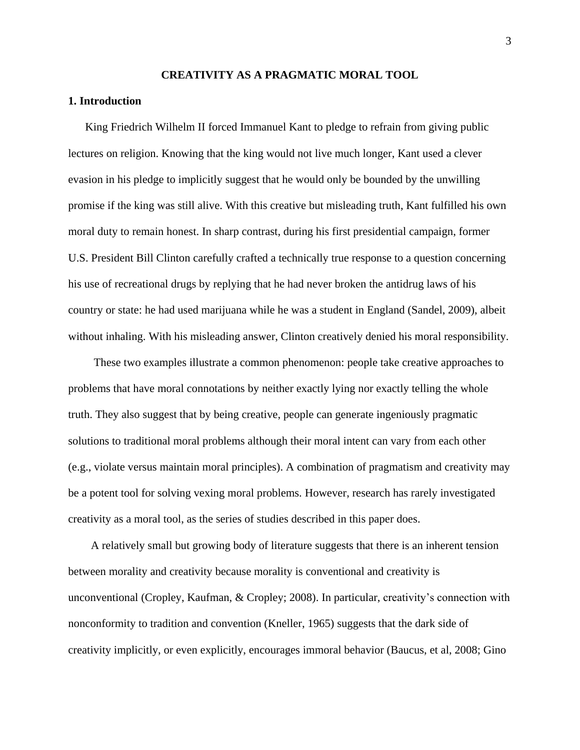#### **CREATIVITY AS A PRAGMATIC MORAL TOOL**

#### **1. Introduction**

 King Friedrich Wilhelm II forced Immanuel Kant to pledge to refrain from giving public lectures on religion. Knowing that the king would not live much longer, Kant used a clever evasion in his pledge to implicitly suggest that he would only be bounded by the unwilling promise if the king was still alive. With this creative but misleading truth, Kant fulfilled his own moral duty to remain honest. In sharp contrast, during his first presidential campaign, former U.S. President Bill Clinton carefully crafted a technically true response to a question concerning his use of recreational drugs by replying that he had never broken the antidrug laws of his country or state: he had used marijuana while he was a student in England (Sandel, 2009), albeit without inhaling. With his misleading answer, Clinton creatively denied his moral responsibility.

 These two examples illustrate a common phenomenon: people take creative approaches to problems that have moral connotations by neither exactly lying nor exactly telling the whole truth. They also suggest that by being creative, people can generate ingeniously pragmatic solutions to traditional moral problems although their moral intent can vary from each other (e.g., violate versus maintain moral principles). A combination of pragmatism and creativity may be a potent tool for solving vexing moral problems. However, research has rarely investigated creativity as a moral tool, as the series of studies described in this paper does.

 A relatively small but growing body of literature suggests that there is an inherent tension between morality and creativity because morality is conventional and creativity is unconventional (Cropley, Kaufman, & Cropley; 2008). In particular, creativity's connection with nonconformity to tradition and convention (Kneller, 1965) suggests that the dark side of creativity implicitly, or even explicitly, encourages immoral behavior (Baucus, et al, 2008; Gino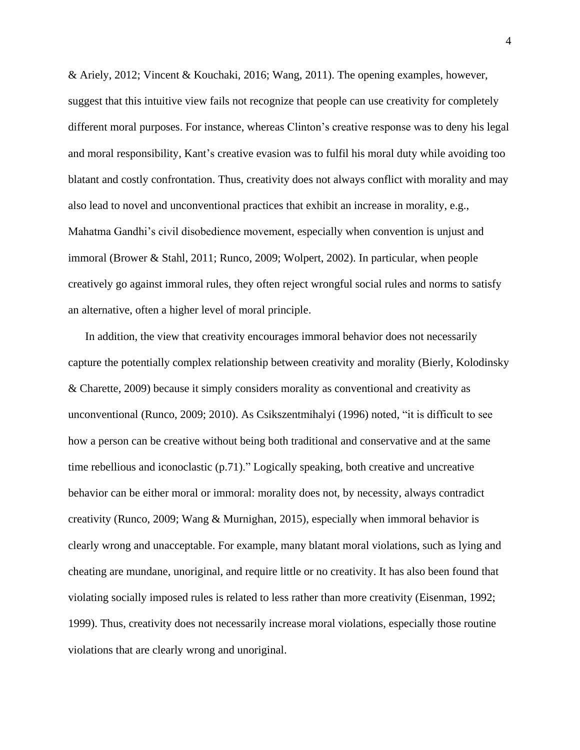& Ariely, 2012; Vincent & Kouchaki, 2016; Wang, 2011). The opening examples, however, suggest that this intuitive view fails not recognize that people can use creativity for completely different moral purposes. For instance, whereas Clinton's creative response was to deny his legal and moral responsibility, Kant's creative evasion was to fulfil his moral duty while avoiding too blatant and costly confrontation. Thus, creativity does not always conflict with morality and may also lead to novel and unconventional practices that exhibit an increase in morality, e.g., Mahatma Gandhi's civil disobedience movement, especially when convention is unjust and immoral (Brower & Stahl, 2011; Runco, 2009; Wolpert, 2002). In particular, when people creatively go against immoral rules, they often reject wrongful social rules and norms to satisfy an alternative, often a higher level of moral principle.

 In addition, the view that creativity encourages immoral behavior does not necessarily capture the potentially complex relationship between creativity and morality (Bierly, Kolodinsky & Charette, 2009) because it simply considers morality as conventional and creativity as unconventional (Runco, 2009; 2010). As Csikszentmihalyi (1996) noted, "it is difficult to see how a person can be creative without being both traditional and conservative and at the same time rebellious and iconoclastic (p.71)." Logically speaking, both creative and uncreative behavior can be either moral or immoral: morality does not, by necessity, always contradict creativity (Runco, 2009; Wang & Murnighan, 2015), especially when immoral behavior is clearly wrong and unacceptable. For example, many blatant moral violations, such as lying and cheating are mundane, unoriginal, and require little or no creativity. It has also been found that violating socially imposed rules is related to less rather than more creativity (Eisenman, 1992; 1999). Thus, creativity does not necessarily increase moral violations, especially those routine violations that are clearly wrong and unoriginal.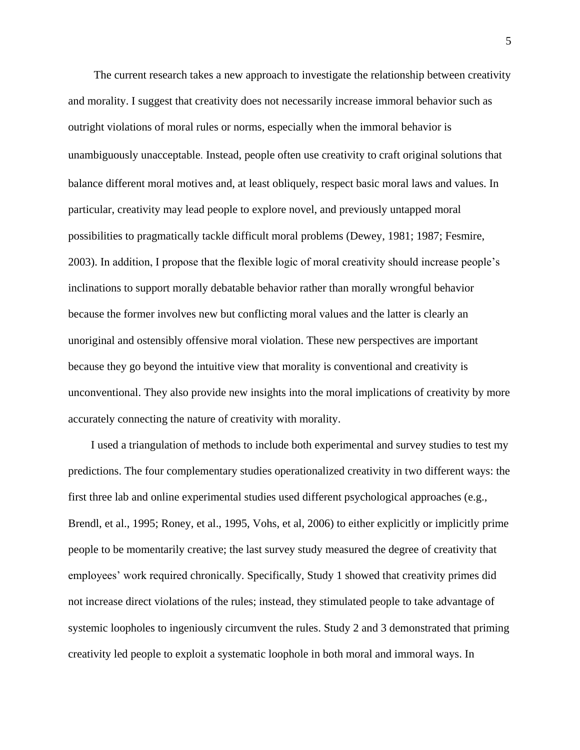The current research takes a new approach to investigate the relationship between creativity and morality. I suggest that creativity does not necessarily increase immoral behavior such as outright violations of moral rules or norms, especially when the immoral behavior is unambiguously unacceptable. Instead, people often use creativity to craft original solutions that balance different moral motives and, at least obliquely, respect basic moral laws and values. In particular, creativity may lead people to explore novel, and previously untapped moral possibilities to pragmatically tackle difficult moral problems (Dewey, 1981; 1987; Fesmire, 2003). In addition, I propose that the flexible logic of moral creativity should increase people's inclinations to support morally debatable behavior rather than morally wrongful behavior because the former involves new but conflicting moral values and the latter is clearly an unoriginal and ostensibly offensive moral violation. These new perspectives are important because they go beyond the intuitive view that morality is conventional and creativity is unconventional. They also provide new insights into the moral implications of creativity by more accurately connecting the nature of creativity with morality.

 I used a triangulation of methods to include both experimental and survey studies to test my predictions. The four complementary studies operationalized creativity in two different ways: the first three lab and online experimental studies used different psychological approaches (e.g., Brendl, et al., 1995; Roney, et al., 1995, Vohs, et al, 2006) to either explicitly or implicitly prime people to be momentarily creative; the last survey study measured the degree of creativity that employees' work required chronically. Specifically, Study 1 showed that creativity primes did not increase direct violations of the rules; instead, they stimulated people to take advantage of systemic loopholes to ingeniously circumvent the rules. Study 2 and 3 demonstrated that priming creativity led people to exploit a systematic loophole in both moral and immoral ways. In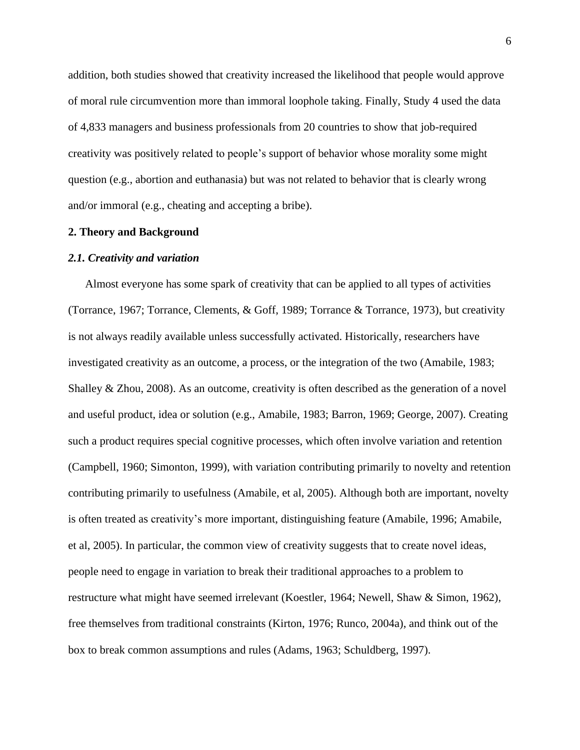addition, both studies showed that creativity increased the likelihood that people would approve of moral rule circumvention more than immoral loophole taking. Finally, Study 4 used the data of 4,833 managers and business professionals from 20 countries to show that job-required creativity was positively related to people's support of behavior whose morality some might question (e.g., abortion and euthanasia) but was not related to behavior that is clearly wrong and/or immoral (e.g., cheating and accepting a bribe).

#### **2. Theory and Background**

#### *2.1. Creativity and variation*

 Almost everyone has some spark of creativity that can be applied to all types of activities (Torrance, 1967; Torrance, Clements, & Goff, 1989; Torrance & Torrance, 1973), but creativity is not always readily available unless successfully activated. Historically, researchers have investigated creativity as an outcome, a process, or the integration of the two (Amabile, 1983; Shalley & Zhou, 2008). As an outcome, creativity is often described as the generation of a novel and useful product, idea or solution (e.g., Amabile, 1983; Barron, 1969; George, 2007). Creating such a product requires special cognitive processes, which often involve variation and retention (Campbell, 1960; Simonton, 1999), with variation contributing primarily to novelty and retention contributing primarily to usefulness (Amabile, et al, 2005). Although both are important, novelty is often treated as creativity's more important, distinguishing feature (Amabile, 1996; Amabile, et al, 2005). In particular, the common view of creativity suggests that to create novel ideas, people need to engage in variation to break their traditional approaches to a problem to restructure what might have seemed irrelevant (Koestler, 1964; Newell, Shaw & Simon, 1962), free themselves from traditional constraints (Kirton, 1976; Runco, 2004a), and think out of the box to break common assumptions and rules (Adams, 1963; Schuldberg, 1997).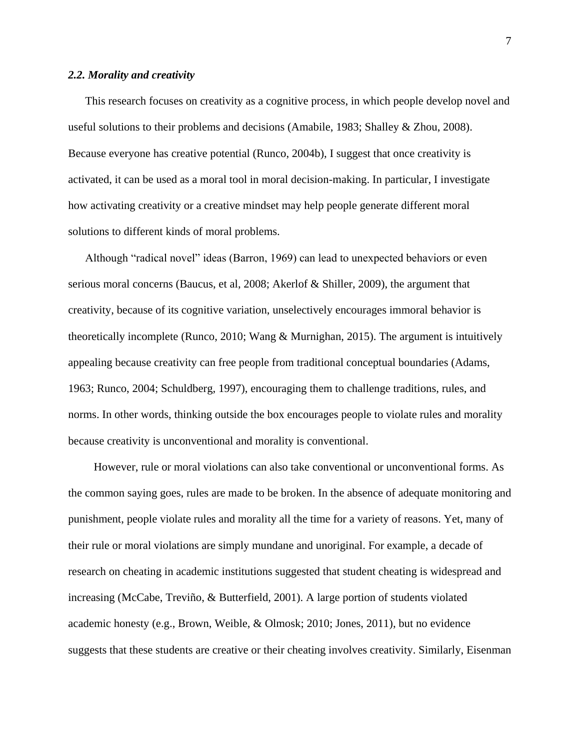#### *2.2. Morality and creativity*

 This research focuses on creativity as a cognitive process, in which people develop novel and useful solutions to their problems and decisions (Amabile, 1983; Shalley & Zhou, 2008). Because everyone has creative potential (Runco, 2004b), I suggest that once creativity is activated, it can be used as a moral tool in moral decision-making. In particular, I investigate how activating creativity or a creative mindset may help people generate different moral solutions to different kinds of moral problems.

 Although "radical novel" ideas (Barron, 1969) can lead to unexpected behaviors or even serious moral concerns (Baucus, et al, 2008; Akerlof & Shiller, 2009), the argument that creativity, because of its cognitive variation, unselectively encourages immoral behavior is theoretically incomplete (Runco, 2010; Wang & Murnighan, 2015). The argument is intuitively appealing because creativity can free people from traditional conceptual boundaries (Adams, 1963; Runco, 2004; Schuldberg, 1997), encouraging them to challenge traditions, rules, and norms. In other words, thinking outside the box encourages people to violate rules and morality because creativity is unconventional and morality is conventional.

 However, rule or moral violations can also take conventional or unconventional forms. As the common saying goes, rules are made to be broken. In the absence of adequate monitoring and punishment, people violate rules and morality all the time for a variety of reasons. Yet, many of their rule or moral violations are simply mundane and unoriginal. For example, a decade of research on cheating in academic institutions suggested that student cheating is widespread and increasing (McCabe, Treviño, & Butterfield, 2001). A large portion of students violated academic honesty (e.g., Brown, Weible, & Olmosk; 2010; Jones, 2011), but no evidence suggests that these students are creative or their cheating involves creativity. Similarly, Eisenman

7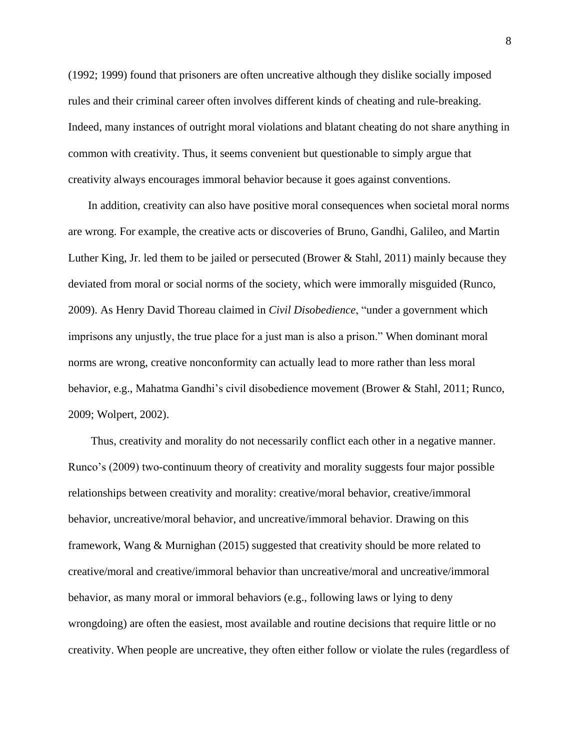(1992; 1999) found that prisoners are often uncreative although they dislike socially imposed rules and their criminal career often involves different kinds of cheating and rule-breaking. Indeed, many instances of outright moral violations and blatant cheating do not share anything in common with creativity. Thus, it seems convenient but questionable to simply argue that creativity always encourages immoral behavior because it goes against conventions.

 In addition, creativity can also have positive moral consequences when societal moral norms are wrong. For example, the creative acts or discoveries of Bruno, Gandhi, Galileo, and Martin Luther King, Jr. led them to be jailed or persecuted (Brower & Stahl, 2011) mainly because they deviated from moral or social norms of the society, which were immorally misguided (Runco, 2009). As Henry David Thoreau claimed in *Civil Disobedience*, "under a government which imprisons any unjustly, the true place for a just man is also a prison." When dominant moral norms are wrong, creative nonconformity can actually lead to more rather than less moral behavior, e.g., Mahatma Gandhi's civil disobedience movement (Brower & Stahl, 2011; Runco, 2009; Wolpert, 2002).

 Thus, creativity and morality do not necessarily conflict each other in a negative manner. Runco's (2009) two-continuum theory of creativity and morality suggests four major possible relationships between creativity and morality: creative/moral behavior, creative/immoral behavior, uncreative/moral behavior, and uncreative/immoral behavior. Drawing on this framework, Wang & Murnighan (2015) suggested that creativity should be more related to creative/moral and creative/immoral behavior than uncreative/moral and uncreative/immoral behavior, as many moral or immoral behaviors (e.g., following laws or lying to deny wrongdoing) are often the easiest, most available and routine decisions that require little or no creativity. When people are uncreative, they often either follow or violate the rules (regardless of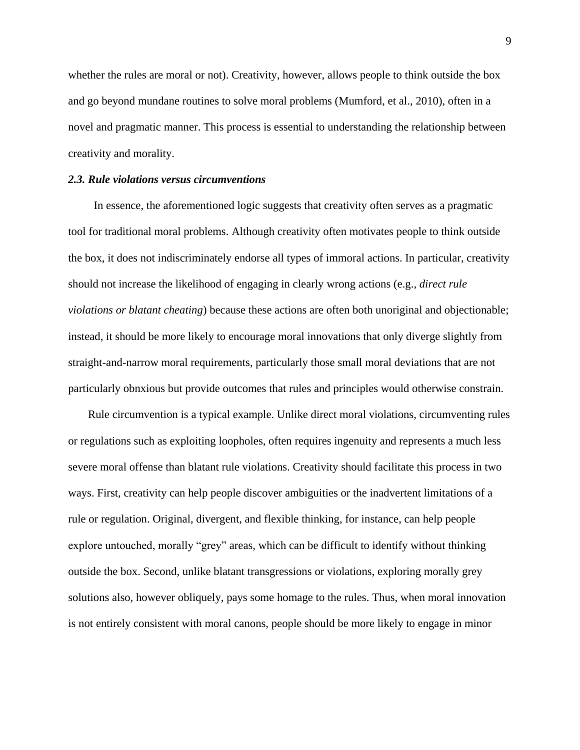whether the rules are moral or not). Creativity, however, allows people to think outside the box and go beyond mundane routines to solve moral problems (Mumford, et al., 2010), often in a novel and pragmatic manner. This process is essential to understanding the relationship between creativity and morality.

#### *2.3. Rule violations versus circumventions*

 In essence, the aforementioned logic suggests that creativity often serves as a pragmatic tool for traditional moral problems. Although creativity often motivates people to think outside the box, it does not indiscriminately endorse all types of immoral actions. In particular, creativity should not increase the likelihood of engaging in clearly wrong actions (e.g., *direct rule violations or blatant cheating*) because these actions are often both unoriginal and objectionable; instead, it should be more likely to encourage moral innovations that only diverge slightly from straight-and-narrow moral requirements, particularly those small moral deviations that are not particularly obnxious but provide outcomes that rules and principles would otherwise constrain.

 Rule circumvention is a typical example. Unlike direct moral violations, circumventing rules or regulations such as exploiting loopholes, often requires ingenuity and represents a much less severe moral offense than blatant rule violations. Creativity should facilitate this process in two ways. First, creativity can help people discover ambiguities or the inadvertent limitations of a rule or regulation. Original, divergent, and flexible thinking, for instance, can help people explore untouched, morally "grey" areas, which can be difficult to identify without thinking outside the box. Second, unlike blatant transgressions or violations, exploring morally grey solutions also, however obliquely, pays some homage to the rules. Thus, when moral innovation is not entirely consistent with moral canons, people should be more likely to engage in minor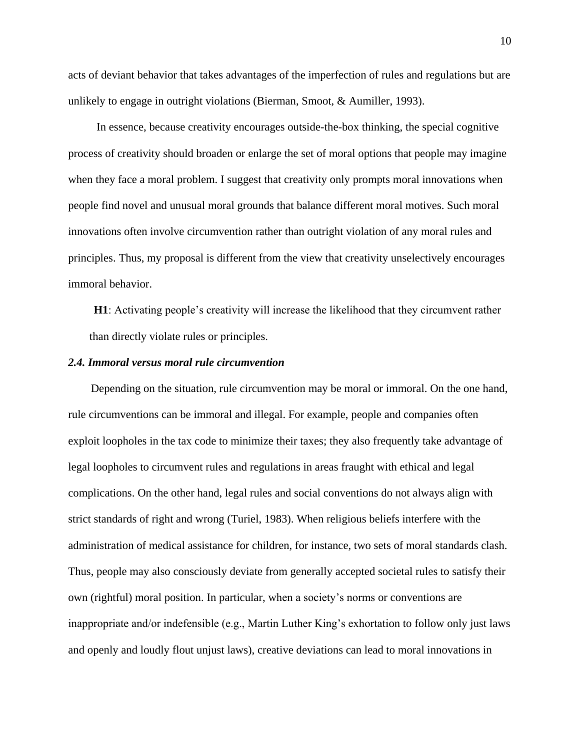acts of deviant behavior that takes advantages of the imperfection of rules and regulations but are unlikely to engage in outright violations (Bierman, Smoot, & Aumiller, 1993).

 In essence, because creativity encourages outside-the-box thinking, the special cognitive process of creativity should broaden or enlarge the set of moral options that people may imagine when they face a moral problem. I suggest that creativity only prompts moral innovations when people find novel and unusual moral grounds that balance different moral motives. Such moral innovations often involve circumvention rather than outright violation of any moral rules and principles. Thus, my proposal is different from the view that creativity unselectively encourages immoral behavior.

**H1**: Activating people's creativity will increase the likelihood that they circumvent rather than directly violate rules or principles.

#### *2.4. Immoral versus moral rule circumvention*

 Depending on the situation, rule circumvention may be moral or immoral. On the one hand, rule circumventions can be immoral and illegal. For example, people and companies often exploit loopholes in the tax code to minimize their taxes; they also frequently take advantage of legal loopholes to circumvent rules and regulations in areas fraught with ethical and legal complications. On the other hand, legal rules and social conventions do not always align with strict standards of right and wrong (Turiel, 1983). When religious beliefs interfere with the administration of medical assistance for children, for instance, two sets of moral standards clash. Thus, people may also consciously deviate from generally accepted societal rules to satisfy their own (rightful) moral position. In particular, when a society's norms or conventions are inappropriate and/or indefensible (e.g., Martin Luther King's exhortation to follow only just laws and openly and loudly flout unjust laws), creative deviations can lead to moral innovations in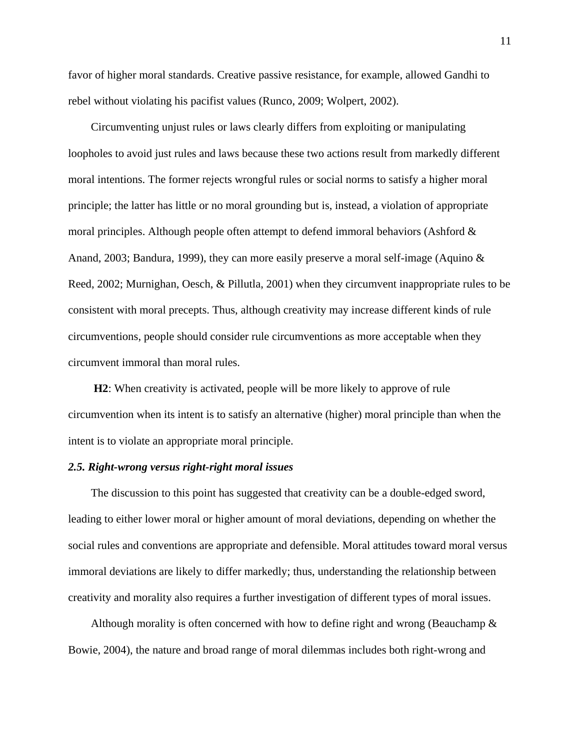favor of higher moral standards. Creative passive resistance, for example, allowed Gandhi to rebel without violating his pacifist values (Runco, 2009; Wolpert, 2002).

 Circumventing unjust rules or laws clearly differs from exploiting or manipulating loopholes to avoid just rules and laws because these two actions result from markedly different moral intentions. The former rejects wrongful rules or social norms to satisfy a higher moral principle; the latter has little or no moral grounding but is, instead, a violation of appropriate moral principles. Although people often attempt to defend immoral behaviors (Ashford & Anand, 2003; Bandura, 1999), they can more easily preserve a moral self-image (Aquino & Reed, 2002; Murnighan, Oesch, & Pillutla, 2001) when they circumvent inappropriate rules to be consistent with moral precepts. Thus, although creativity may increase different kinds of rule circumventions, people should consider rule circumventions as more acceptable when they circumvent immoral than moral rules.

 **H2**: When creativity is activated, people will be more likely to approve of rule circumvention when its intent is to satisfy an alternative (higher) moral principle than when the intent is to violate an appropriate moral principle.

### *2.5. Right-wrong versus right-right moral issues*

 The discussion to this point has suggested that creativity can be a double-edged sword, leading to either lower moral or higher amount of moral deviations, depending on whether the social rules and conventions are appropriate and defensible. Moral attitudes toward moral versus immoral deviations are likely to differ markedly; thus, understanding the relationship between creativity and morality also requires a further investigation of different types of moral issues.

Although morality is often concerned with how to define right and wrong (Beauchamp  $\&$ Bowie, 2004), the nature and broad range of moral dilemmas includes both right-wrong and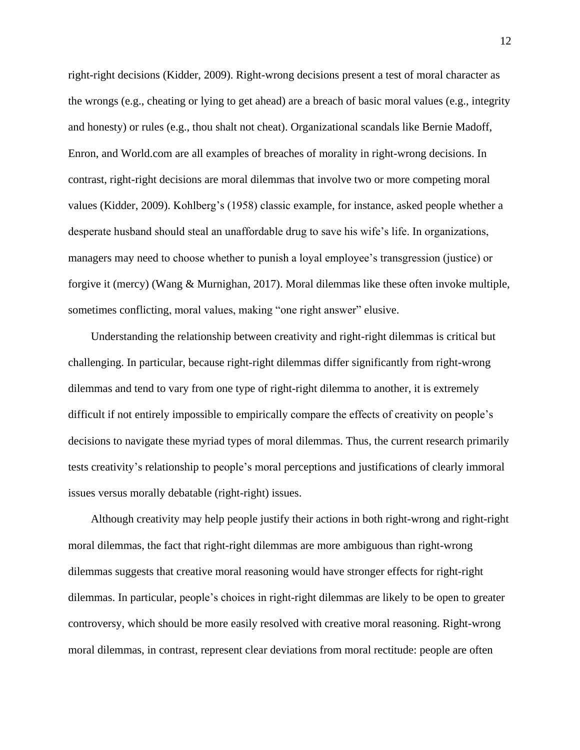right-right decisions (Kidder, 2009). Right-wrong decisions present a test of moral character as the wrongs (e.g., cheating or lying to get ahead) are a breach of basic moral values (e.g., integrity and honesty) or rules (e.g., thou shalt not cheat). Organizational scandals like Bernie Madoff, Enron, and World.com are all examples of breaches of morality in right-wrong decisions. In contrast, right-right decisions are moral dilemmas that involve two or more competing moral values (Kidder, 2009). Kohlberg's (1958) classic example, for instance, asked people whether a desperate husband should steal an unaffordable drug to save his wife's life. In organizations, managers may need to choose whether to punish a loyal employee's transgression (justice) or forgive it (mercy) (Wang & Murnighan, 2017). Moral dilemmas like these often invoke multiple, sometimes conflicting, moral values, making "one right answer" elusive.

 Understanding the relationship between creativity and right-right dilemmas is critical but challenging. In particular, because right-right dilemmas differ significantly from right-wrong dilemmas and tend to vary from one type of right-right dilemma to another, it is extremely difficult if not entirely impossible to empirically compare the effects of creativity on people's decisions to navigate these myriad types of moral dilemmas. Thus, the current research primarily tests creativity's relationship to people's moral perceptions and justifications of clearly immoral issues versus morally debatable (right-right) issues.

 Although creativity may help people justify their actions in both right-wrong and right-right moral dilemmas, the fact that right-right dilemmas are more ambiguous than right-wrong dilemmas suggests that creative moral reasoning would have stronger effects for right-right dilemmas. In particular, people's choices in right-right dilemmas are likely to be open to greater controversy, which should be more easily resolved with creative moral reasoning. Right-wrong moral dilemmas, in contrast, represent clear deviations from moral rectitude: people are often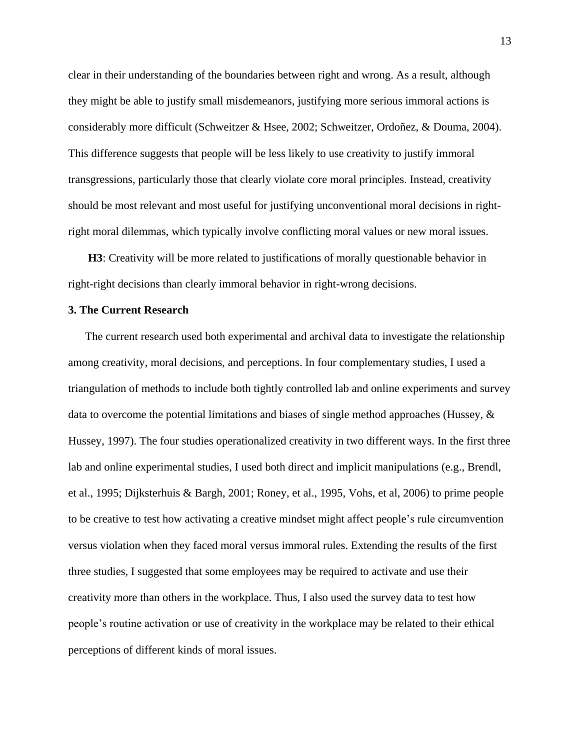clear in their understanding of the boundaries between right and wrong. As a result, although they might be able to justify small misdemeanors, justifying more serious immoral actions is considerably more difficult (Schweitzer & Hsee, 2002; Schweitzer, Ordoñez, & Douma, 2004). This difference suggests that people will be less likely to use creativity to justify immoral transgressions, particularly those that clearly violate core moral principles. Instead, creativity should be most relevant and most useful for justifying unconventional moral decisions in rightright moral dilemmas, which typically involve conflicting moral values or new moral issues.

**H3**: Creativity will be more related to justifications of morally questionable behavior in right-right decisions than clearly immoral behavior in right-wrong decisions.

#### **3. The Current Research**

 The current research used both experimental and archival data to investigate the relationship among creativity, moral decisions, and perceptions. In four complementary studies, I used a triangulation of methods to include both tightly controlled lab and online experiments and survey data to overcome the potential limitations and biases of single method approaches (Hussey, & Hussey, 1997). The four studies operationalized creativity in two different ways. In the first three lab and online experimental studies, I used both direct and implicit manipulations (e.g., Brendl, et al., 1995; Dijksterhuis & Bargh, 2001; Roney, et al., 1995, Vohs, et al, 2006) to prime people to be creative to test how activating a creative mindset might affect people's rule circumvention versus violation when they faced moral versus immoral rules. Extending the results of the first three studies, I suggested that some employees may be required to activate and use their creativity more than others in the workplace. Thus, I also used the survey data to test how people's routine activation or use of creativity in the workplace may be related to their ethical perceptions of different kinds of moral issues.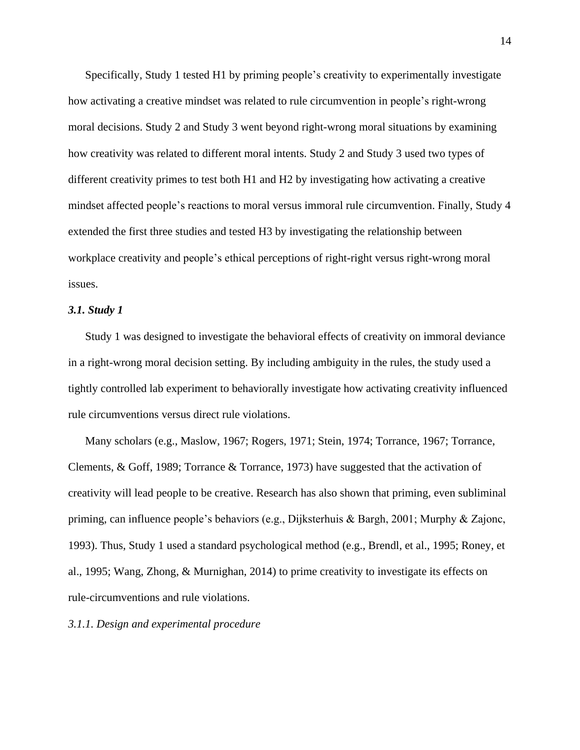Specifically, Study 1 tested H1 by priming people's creativity to experimentally investigate how activating a creative mindset was related to rule circumvention in people's right-wrong moral decisions. Study 2 and Study 3 went beyond right-wrong moral situations by examining how creativity was related to different moral intents. Study 2 and Study 3 used two types of different creativity primes to test both H1 and H2 by investigating how activating a creative mindset affected people's reactions to moral versus immoral rule circumvention. Finally, Study 4 extended the first three studies and tested H3 by investigating the relationship between workplace creativity and people's ethical perceptions of right-right versus right-wrong moral issues.

#### *3.1. Study 1*

 Study 1 was designed to investigate the behavioral effects of creativity on immoral deviance in a right-wrong moral decision setting. By including ambiguity in the rules, the study used a tightly controlled lab experiment to behaviorally investigate how activating creativity influenced rule circumventions versus direct rule violations.

 Many scholars (e.g., Maslow, 1967; Rogers, 1971; Stein, 1974; Torrance, 1967; Torrance, Clements, & Goff, 1989; Torrance & Torrance, 1973) have suggested that the activation of creativity will lead people to be creative. Research has also shown that priming, even subliminal priming, can influence people's behaviors (e.g., Dijksterhuis & Bargh, 2001; Murphy & Zajonc, 1993). Thus, Study 1 used a standard psychological method (e.g., Brendl, et al., 1995; Roney, et al., 1995; Wang, Zhong, & Murnighan, 2014) to prime creativity to investigate its effects on rule-circumventions and rule violations.

#### *3.1.1. Design and experimental procedure*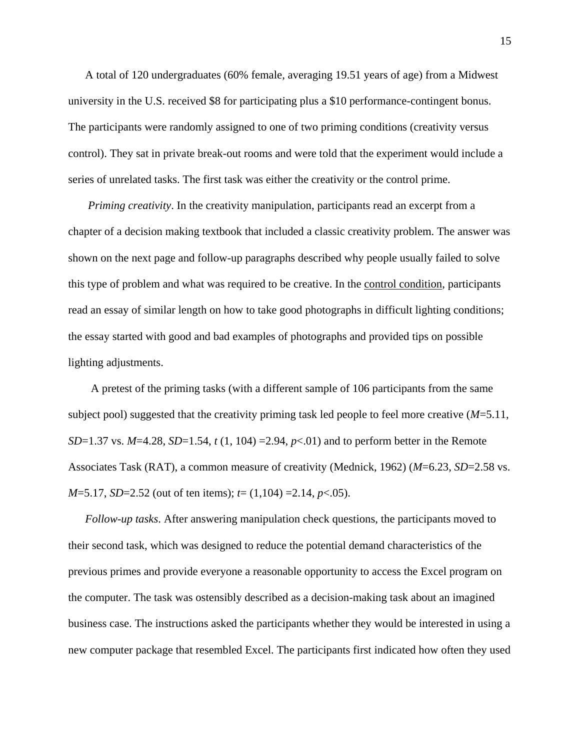A total of 120 undergraduates (60% female, averaging 19.51 years of age) from a Midwest university in the U.S. received \$8 for participating plus a \$10 performance-contingent bonus. The participants were randomly assigned to one of two priming conditions (creativity versus control). They sat in private break-out rooms and were told that the experiment would include a series of unrelated tasks. The first task was either the creativity or the control prime.

*Priming creativity*. In the creativity manipulation, participants read an excerpt from a chapter of a decision making textbook that included a classic creativity problem. The answer was shown on the next page and follow-up paragraphs described why people usually failed to solve this type of problem and what was required to be creative. In the control condition, participants read an essay of similar length on how to take good photographs in difficult lighting conditions; the essay started with good and bad examples of photographs and provided tips on possible lighting adjustments.

 A pretest of the priming tasks (with a different sample of 106 participants from the same subject pool) suggested that the creativity priming task led people to feel more creative (*M*=5.11, *SD*=1.37 vs. *M*=4.28, *SD*=1.54, *t* (1, 104) =2.94, *p*<.01) and to perform better in the Remote Associates Task (RAT), a common measure of creativity (Mednick, 1962) (*M*=6.23, *SD*=2.58 vs. *M*=5.17, *SD*=2.52 (out of ten items); *t*= (1,104) =2.14, *p*<.05).

 *Follow-up tasks*. After answering manipulation check questions, the participants moved to their second task, which was designed to reduce the potential demand characteristics of the previous primes and provide everyone a reasonable opportunity to access the Excel program on the computer. The task was ostensibly described as a decision-making task about an imagined business case. The instructions asked the participants whether they would be interested in using a new computer package that resembled Excel. The participants first indicated how often they used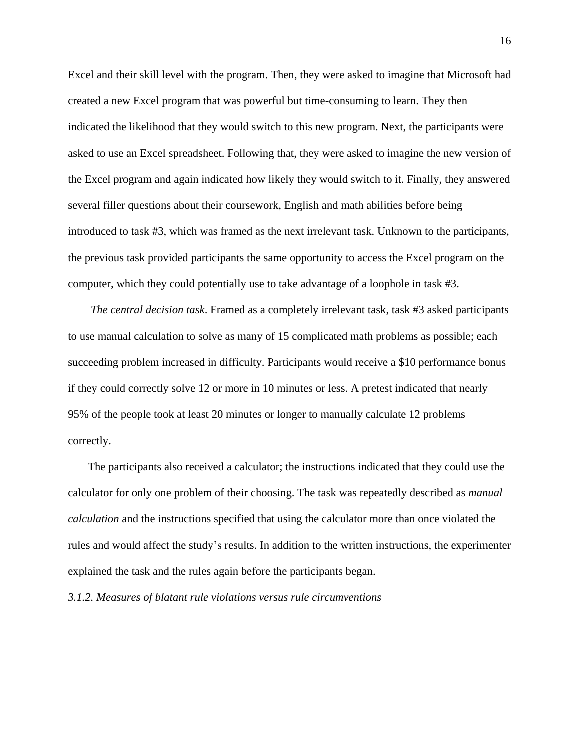Excel and their skill level with the program. Then, they were asked to imagine that Microsoft had created a new Excel program that was powerful but time-consuming to learn. They then indicated the likelihood that they would switch to this new program. Next, the participants were asked to use an Excel spreadsheet. Following that, they were asked to imagine the new version of the Excel program and again indicated how likely they would switch to it. Finally, they answered several filler questions about their coursework, English and math abilities before being introduced to task #3, which was framed as the next irrelevant task. Unknown to the participants, the previous task provided participants the same opportunity to access the Excel program on the computer, which they could potentially use to take advantage of a loophole in task #3.

 *The central decision task*. Framed as a completely irrelevant task, task #3 asked participants to use manual calculation to solve as many of 15 complicated math problems as possible; each succeeding problem increased in difficulty. Participants would receive a \$10 performance bonus if they could correctly solve 12 or more in 10 minutes or less. A pretest indicated that nearly 95% of the people took at least 20 minutes or longer to manually calculate 12 problems correctly.

 The participants also received a calculator; the instructions indicated that they could use the calculator for only one problem of their choosing. The task was repeatedly described as *manual calculation* and the instructions specified that using the calculator more than once violated the rules and would affect the study's results. In addition to the written instructions, the experimenter explained the task and the rules again before the participants began.

*3.1.2. Measures of blatant rule violations versus rule circumventions*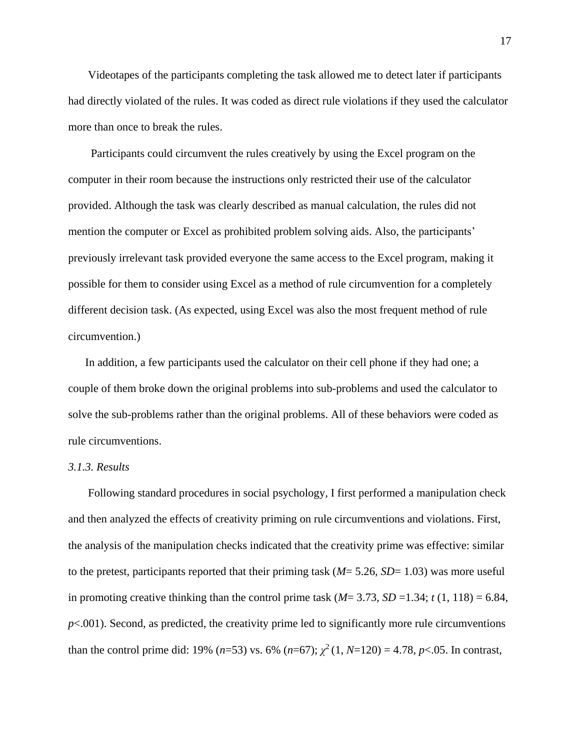Videotapes of the participants completing the task allowed me to detect later if participants had directly violated of the rules. It was coded as direct rule violations if they used the calculator more than once to break the rules.

 Participants could circumvent the rules creatively by using the Excel program on the computer in their room because the instructions only restricted their use of the calculator provided. Although the task was clearly described as manual calculation, the rules did not mention the computer or Excel as prohibited problem solving aids. Also, the participants' previously irrelevant task provided everyone the same access to the Excel program, making it possible for them to consider using Excel as a method of rule circumvention for a completely different decision task. (As expected, using Excel was also the most frequent method of rule circumvention.)

 In addition, a few participants used the calculator on their cell phone if they had one; a couple of them broke down the original problems into sub-problems and used the calculator to solve the sub-problems rather than the original problems. All of these behaviors were coded as rule circumventions.

#### *3.1.3. Results*

 Following standard procedures in social psychology, I first performed a manipulation check and then analyzed the effects of creativity priming on rule circumventions and violations. First, the analysis of the manipulation checks indicated that the creativity prime was effective: similar to the pretest, participants reported that their priming task (*M*= 5.26, *SD*= 1.03) was more useful in promoting creative thinking than the control prime task  $(M=3.73, SD=1.34; t(1, 118)=6.84$ ,  $p<.001$ ). Second, as predicted, the creativity prime led to significantly more rule circumventions than the control prime did: 19% (*n*=53) vs. 6% (*n*=67);  $\chi^2$  (1, *N*=120) = 4.78, *p*<.05. In contrast,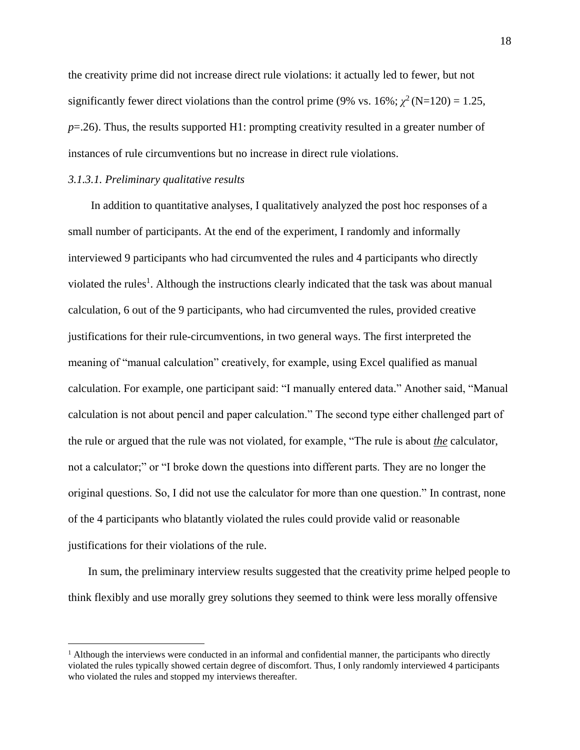the creativity prime did not increase direct rule violations: it actually led to fewer, but not significantly fewer direct violations than the control prime (9% vs.  $16\%$ ;  $\chi^2$  (N=120) = 1.25, *p*=.26). Thus, the results supported H1: prompting creativity resulted in a greater number of instances of rule circumventions but no increase in direct rule violations.

### *3.1.3.1. Preliminary qualitative results*

 $\overline{a}$ 

 In addition to quantitative analyses, I qualitatively analyzed the post hoc responses of a small number of participants. At the end of the experiment, I randomly and informally interviewed 9 participants who had circumvented the rules and 4 participants who directly violated the rules<sup>1</sup>. Although the instructions clearly indicated that the task was about manual calculation, 6 out of the 9 participants, who had circumvented the rules, provided creative justifications for their rule-circumventions, in two general ways. The first interpreted the meaning of "manual calculation" creatively, for example, using Excel qualified as manual calculation. For example, one participant said: "I manually entered data." Another said, "Manual calculation is not about pencil and paper calculation." The second type either challenged part of the rule or argued that the rule was not violated, for example, "The rule is about *the* calculator, not a calculator;" or "I broke down the questions into different parts. They are no longer the original questions. So, I did not use the calculator for more than one question." In contrast, none of the 4 participants who blatantly violated the rules could provide valid or reasonable justifications for their violations of the rule.

 In sum, the preliminary interview results suggested that the creativity prime helped people to think flexibly and use morally grey solutions they seemed to think were less morally offensive

 $<sup>1</sup>$  Although the interviews were conducted in an informal and confidential manner, the participants who directly</sup> violated the rules typically showed certain degree of discomfort. Thus, I only randomly interviewed 4 participants who violated the rules and stopped my interviews thereafter.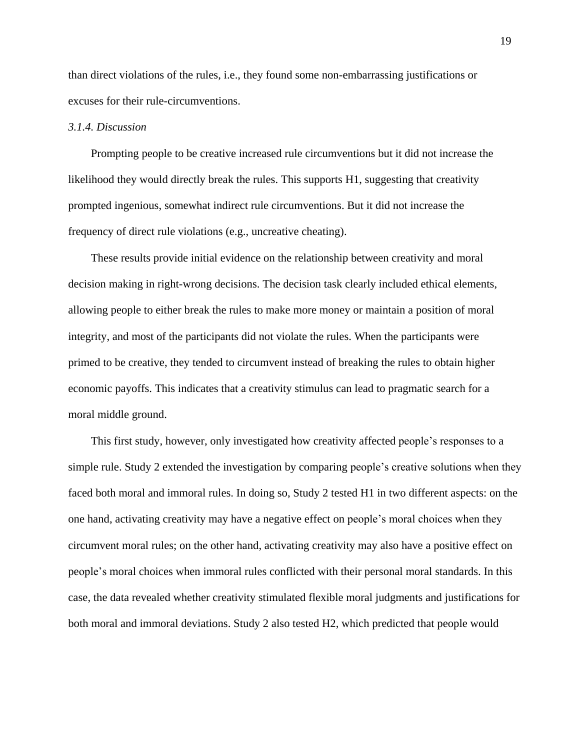than direct violations of the rules, i.e., they found some non-embarrassing justifications or excuses for their rule-circumventions.

#### *3.1.4. Discussion*

 Prompting people to be creative increased rule circumventions but it did not increase the likelihood they would directly break the rules. This supports H1, suggesting that creativity prompted ingenious, somewhat indirect rule circumventions. But it did not increase the frequency of direct rule violations (e.g., uncreative cheating).

 These results provide initial evidence on the relationship between creativity and moral decision making in right-wrong decisions. The decision task clearly included ethical elements, allowing people to either break the rules to make more money or maintain a position of moral integrity, and most of the participants did not violate the rules. When the participants were primed to be creative, they tended to circumvent instead of breaking the rules to obtain higher economic payoffs. This indicates that a creativity stimulus can lead to pragmatic search for a moral middle ground.

 This first study, however, only investigated how creativity affected people's responses to a simple rule. Study 2 extended the investigation by comparing people's creative solutions when they faced both moral and immoral rules. In doing so, Study 2 tested H1 in two different aspects: on the one hand, activating creativity may have a negative effect on people's moral choices when they circumvent moral rules; on the other hand, activating creativity may also have a positive effect on people's moral choices when immoral rules conflicted with their personal moral standards. In this case, the data revealed whether creativity stimulated flexible moral judgments and justifications for both moral and immoral deviations. Study 2 also tested H2, which predicted that people would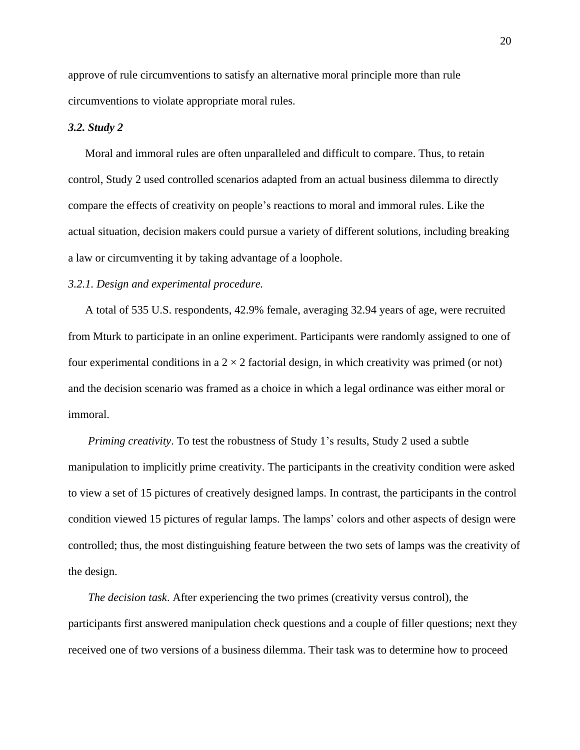approve of rule circumventions to satisfy an alternative moral principle more than rule circumventions to violate appropriate moral rules.

# *3.2. Study 2*

 Moral and immoral rules are often unparalleled and difficult to compare. Thus, to retain control, Study 2 used controlled scenarios adapted from an actual business dilemma to directly compare the effects of creativity on people's reactions to moral and immoral rules. Like the actual situation, decision makers could pursue a variety of different solutions, including breaking a law or circumventing it by taking advantage of a loophole.

#### *3.2.1. Design and experimental procedure.*

 A total of 535 U.S. respondents, 42.9% female, averaging 32.94 years of age, were recruited from Mturk to participate in an online experiment. Participants were randomly assigned to one of four experimental conditions in a  $2 \times 2$  factorial design, in which creativity was primed (or not) and the decision scenario was framed as a choice in which a legal ordinance was either moral or immoral.

*Priming creativity*. To test the robustness of Study 1's results, Study 2 used a subtle manipulation to implicitly prime creativity. The participants in the creativity condition were asked to view a set of 15 pictures of creatively designed lamps. In contrast, the participants in the control condition viewed 15 pictures of regular lamps. The lamps' colors and other aspects of design were controlled; thus, the most distinguishing feature between the two sets of lamps was the creativity of the design.

*The decision task*. After experiencing the two primes (creativity versus control), the participants first answered manipulation check questions and a couple of filler questions; next they received one of two versions of a business dilemma. Their task was to determine how to proceed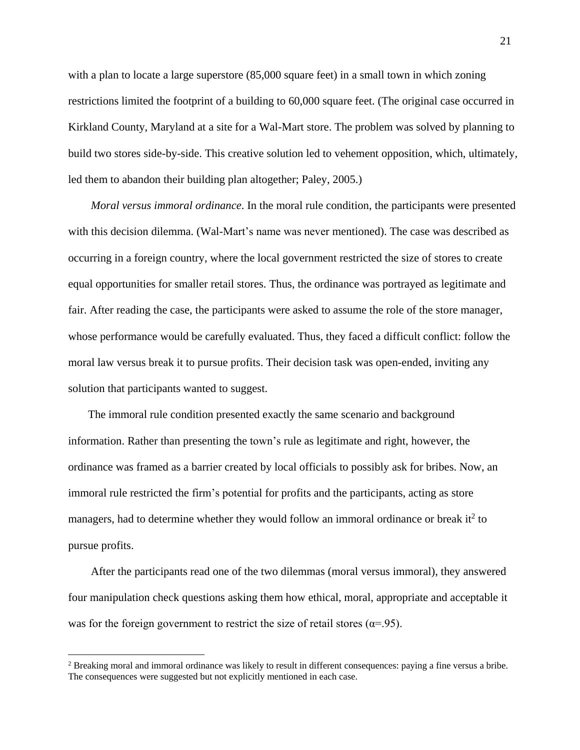with a plan to locate a large superstore  $(85,000)$  square feet) in a small town in which zoning restrictions limited the footprint of a building to 60,000 square feet. (The original case occurred in Kirkland County, Maryland at a site for a Wal-Mart store. The problem was solved by planning to build two stores side-by-side. This creative solution led to vehement opposition, which, ultimately, led them to abandon their building plan altogether; Paley, 2005.)

*Moral versus immoral ordinance*. In the moral rule condition, the participants were presented with this decision dilemma. (Wal-Mart's name was never mentioned). The case was described as occurring in a foreign country, where the local government restricted the size of stores to create equal opportunities for smaller retail stores. Thus, the ordinance was portrayed as legitimate and fair. After reading the case, the participants were asked to assume the role of the store manager, whose performance would be carefully evaluated. Thus, they faced a difficult conflict: follow the moral law versus break it to pursue profits. Their decision task was open-ended, inviting any solution that participants wanted to suggest.

 The immoral rule condition presented exactly the same scenario and background information. Rather than presenting the town's rule as legitimate and right, however, the ordinance was framed as a barrier created by local officials to possibly ask for bribes. Now, an immoral rule restricted the firm's potential for profits and the participants, acting as store managers, had to determine whether they would follow an immoral ordinance or break it<sup>2</sup> to pursue profits.

 After the participants read one of the two dilemmas (moral versus immoral), they answered four manipulation check questions asking them how ethical, moral, appropriate and acceptable it was for the foreign government to restrict the size of retail stores ( $\alpha$ =.95).

 $\overline{a}$ 

<sup>&</sup>lt;sup>2</sup> Breaking moral and immoral ordinance was likely to result in different consequences: paying a fine versus a bribe. The consequences were suggested but not explicitly mentioned in each case.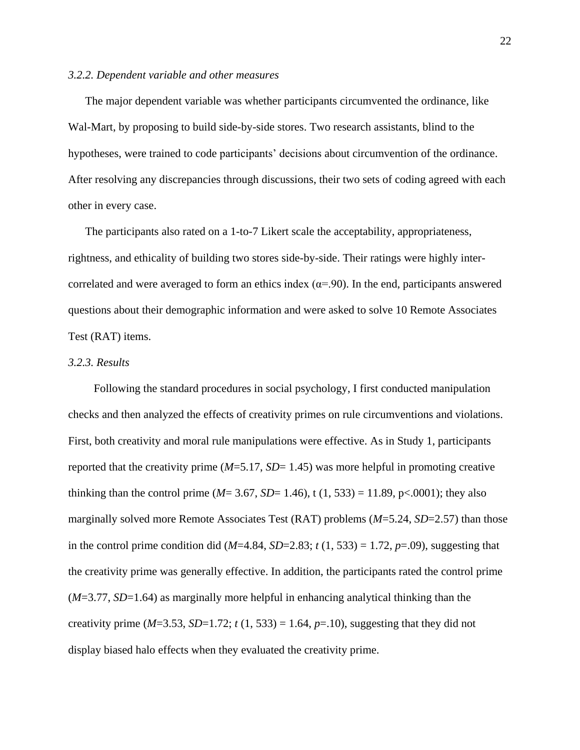### *3.2.2. Dependent variable and other measures*

 The major dependent variable was whether participants circumvented the ordinance, like Wal-Mart, by proposing to build side-by-side stores. Two research assistants, blind to the hypotheses, were trained to code participants' decisions about circumvention of the ordinance. After resolving any discrepancies through discussions, their two sets of coding agreed with each other in every case.

 The participants also rated on a 1-to-7 Likert scale the acceptability, appropriateness, rightness, and ethicality of building two stores side-by-side. Their ratings were highly intercorrelated and were averaged to form an ethics index  $(\alpha = .90)$ . In the end, participants answered questions about their demographic information and were asked to solve 10 Remote Associates Test (RAT) items.

### *3.2.3. Results*

 Following the standard procedures in social psychology, I first conducted manipulation checks and then analyzed the effects of creativity primes on rule circumventions and violations. First, both creativity and moral rule manipulations were effective. As in Study 1, participants reported that the creativity prime (*M*=5.17, *SD*= 1.45) was more helpful in promoting creative thinking than the control prime ( $M=3.67$ ,  $SD=1.46$ ), t (1, 533) = 11.89, p<.0001); they also marginally solved more Remote Associates Test (RAT) problems (*M*=5.24, *SD*=2.57) than those in the control prime condition did (*M*=4.84, *SD*=2.83; *t* (1, 533) = 1.72, *p*=.09), suggesting that the creativity prime was generally effective. In addition, the participants rated the control prime (*M*=3.77, *SD*=1.64) as marginally more helpful in enhancing analytical thinking than the creativity prime  $(M=3.53, SD=1.72; t(1, 533) = 1.64, p=.10$ , suggesting that they did not display biased halo effects when they evaluated the creativity prime.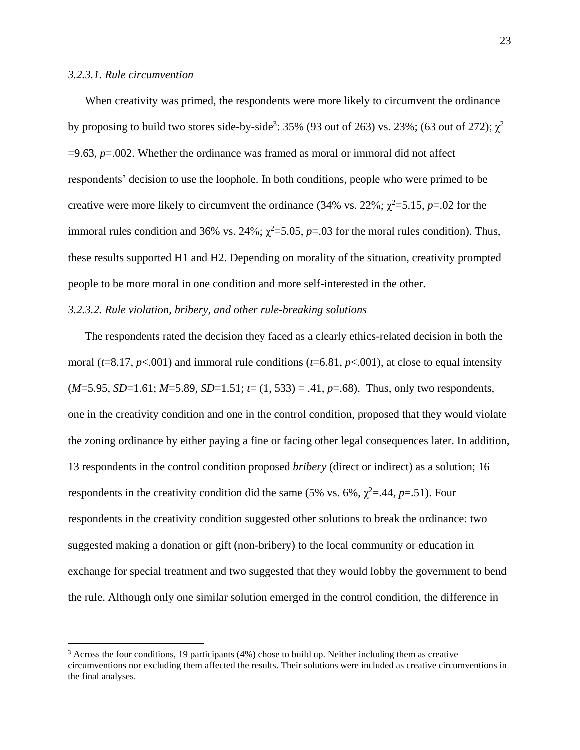#### *3.2.3.1. Rule circumvention*

 $\overline{a}$ 

 When creativity was primed, the respondents were more likely to circumvent the ordinance by proposing to build two stores side-by-side<sup>3</sup>: 35% (93 out of 263) vs. 23%; (63 out of 272);  $\chi^2$  $=9.63$ ,  $p=.002$ . Whether the ordinance was framed as moral or immoral did not affect respondents' decision to use the loophole. In both conditions, people who were primed to be creative were more likely to circumvent the ordinance (34% vs. 22%;  $\chi^2$ =5.15, *p*=.02 for the immoral rules condition and 36% vs. 24%;  $\chi^2$ =5.05, *p*=.03 for the moral rules condition). Thus, these results supported H1 and H2. Depending on morality of the situation, creativity prompted people to be more moral in one condition and more self-interested in the other.

# *3.2.3.2. Rule violation, bribery, and other rule-breaking solutions*

 The respondents rated the decision they faced as a clearly ethics-related decision in both the moral ( $t=8.17$ ,  $p<0.01$ ) and immoral rule conditions ( $t=6.81$ ,  $p<0.01$ ), at close to equal intensity  $(M=5.95, SD=1.61; M=5.89, SD=1.51; t=(1, 533) = .41, p=.68$ . Thus, only two respondents, one in the creativity condition and one in the control condition, proposed that they would violate the zoning ordinance by either paying a fine or facing other legal consequences later. In addition, 13 respondents in the control condition proposed *bribery* (direct or indirect) as a solution; 16 respondents in the creativity condition did the same (5% vs. 6%,  $\chi^2 = .44$ ,  $p = .51$ ). Four respondents in the creativity condition suggested other solutions to break the ordinance: two suggested making a donation or gift (non-bribery) to the local community or education in exchange for special treatment and two suggested that they would lobby the government to bend the rule. Although only one similar solution emerged in the control condition, the difference in

 $3$  Across the four conditions, 19 participants (4%) chose to build up. Neither including them as creative circumventions nor excluding them affected the results. Their solutions were included as creative circumventions in the final analyses.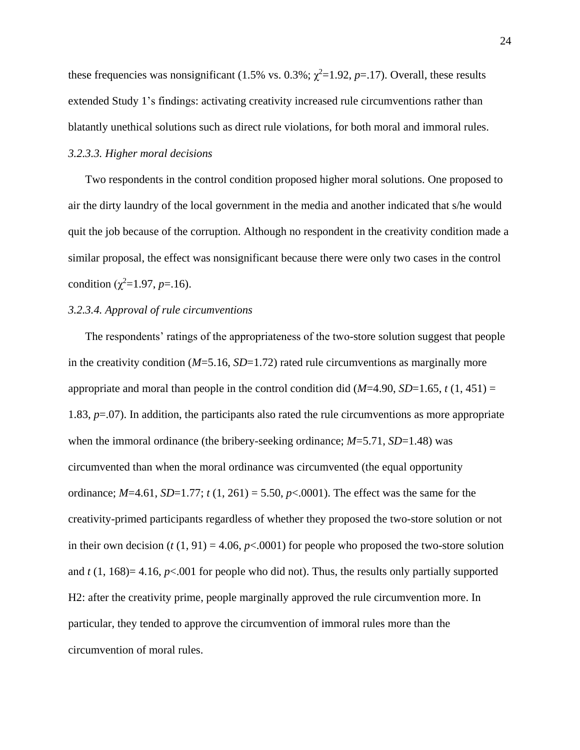these frequencies was nonsignificant (1.5% vs. 0.3%;  $\chi^2$ =1.92, *p*=.17). Overall, these results extended Study 1's findings: activating creativity increased rule circumventions rather than blatantly unethical solutions such as direct rule violations, for both moral and immoral rules.

## *3.2.3.3. Higher moral decisions*

 Two respondents in the control condition proposed higher moral solutions. One proposed to air the dirty laundry of the local government in the media and another indicated that s/he would quit the job because of the corruption. Although no respondent in the creativity condition made a similar proposal, the effect was nonsignificant because there were only two cases in the control condition ( $\chi^2$ =1.97, *p*=.16).

### *3.2.3.4. Approval of rule circumventions*

 The respondents' ratings of the appropriateness of the two-store solution suggest that people in the creativity condition (*M*=5.16, *SD*=1.72) rated rule circumventions as marginally more appropriate and moral than people in the control condition did  $(M=4.90, SD=1.65, t(1, 451) =$ 1.83, *p*=.07). In addition, the participants also rated the rule circumventions as more appropriate when the immoral ordinance (the bribery-seeking ordinance;  $M=5.71$ ,  $SD=1.48$ ) was circumvented than when the moral ordinance was circumvented (the equal opportunity ordinance;  $M=4.61$ ,  $SD=1.77$ ;  $t(1, 261) = 5.50$ ,  $p<0.001$ ). The effect was the same for the creativity-primed participants regardless of whether they proposed the two-store solution or not in their own decision  $(t(1, 91) = 4.06, p<0.001)$  for people who proposed the two-store solution and  $t(1, 168)=4.16$ ,  $p<0.001$  for people who did not). Thus, the results only partially supported H2: after the creativity prime, people marginally approved the rule circumvention more. In particular, they tended to approve the circumvention of immoral rules more than the circumvention of moral rules.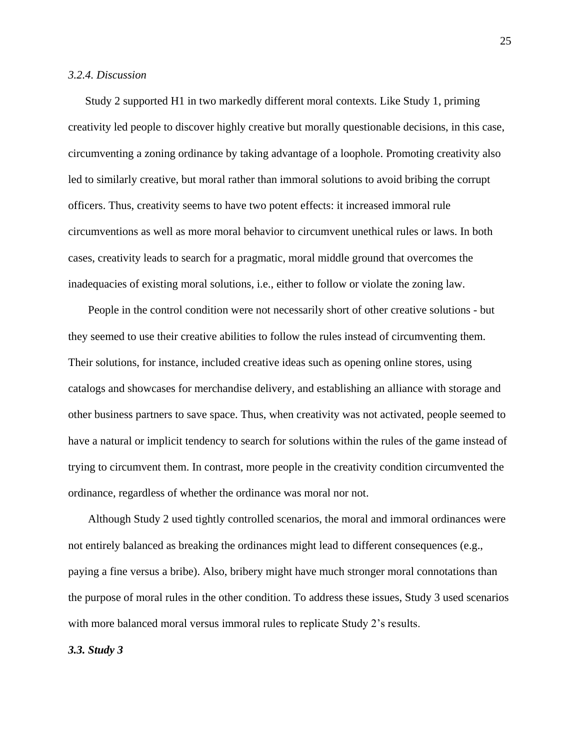### *3.2.4. Discussion*

 Study 2 supported H1 in two markedly different moral contexts. Like Study 1, priming creativity led people to discover highly creative but morally questionable decisions, in this case, circumventing a zoning ordinance by taking advantage of a loophole. Promoting creativity also led to similarly creative, but moral rather than immoral solutions to avoid bribing the corrupt officers. Thus, creativity seems to have two potent effects: it increased immoral rule circumventions as well as more moral behavior to circumvent unethical rules or laws. In both cases, creativity leads to search for a pragmatic, moral middle ground that overcomes the inadequacies of existing moral solutions, i.e., either to follow or violate the zoning law.

 People in the control condition were not necessarily short of other creative solutions - but they seemed to use their creative abilities to follow the rules instead of circumventing them. Their solutions, for instance, included creative ideas such as opening online stores, using catalogs and showcases for merchandise delivery, and establishing an alliance with storage and other business partners to save space. Thus, when creativity was not activated, people seemed to have a natural or implicit tendency to search for solutions within the rules of the game instead of trying to circumvent them. In contrast, more people in the creativity condition circumvented the ordinance, regardless of whether the ordinance was moral nor not.

 Although Study 2 used tightly controlled scenarios, the moral and immoral ordinances were not entirely balanced as breaking the ordinances might lead to different consequences (e.g., paying a fine versus a bribe). Also, bribery might have much stronger moral connotations than the purpose of moral rules in the other condition. To address these issues, Study 3 used scenarios with more balanced moral versus immoral rules to replicate Study 2's results.

*3.3. Study 3*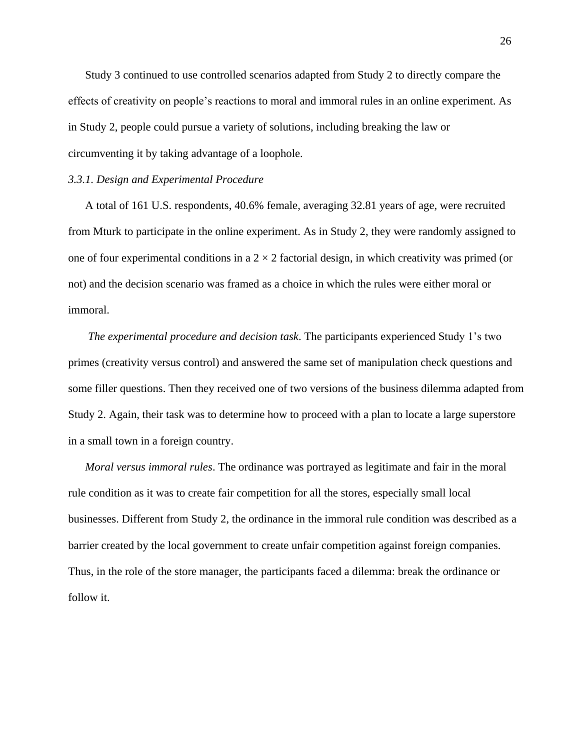Study 3 continued to use controlled scenarios adapted from Study 2 to directly compare the effects of creativity on people's reactions to moral and immoral rules in an online experiment. As in Study 2, people could pursue a variety of solutions, including breaking the law or circumventing it by taking advantage of a loophole.

#### *3.3.1. Design and Experimental Procedure*

 A total of 161 U.S. respondents, 40.6% female, averaging 32.81 years of age, were recruited from Mturk to participate in the online experiment. As in Study 2, they were randomly assigned to one of four experimental conditions in a  $2 \times 2$  factorial design, in which creativity was primed (or not) and the decision scenario was framed as a choice in which the rules were either moral or immoral.

*The experimental procedure and decision task*. The participants experienced Study 1's two primes (creativity versus control) and answered the same set of manipulation check questions and some filler questions. Then they received one of two versions of the business dilemma adapted from Study 2. Again, their task was to determine how to proceed with a plan to locate a large superstore in a small town in a foreign country.

*Moral versus immoral rules*. The ordinance was portrayed as legitimate and fair in the moral rule condition as it was to create fair competition for all the stores, especially small local businesses. Different from Study 2, the ordinance in the immoral rule condition was described as a barrier created by the local government to create unfair competition against foreign companies. Thus, in the role of the store manager, the participants faced a dilemma: break the ordinance or follow it.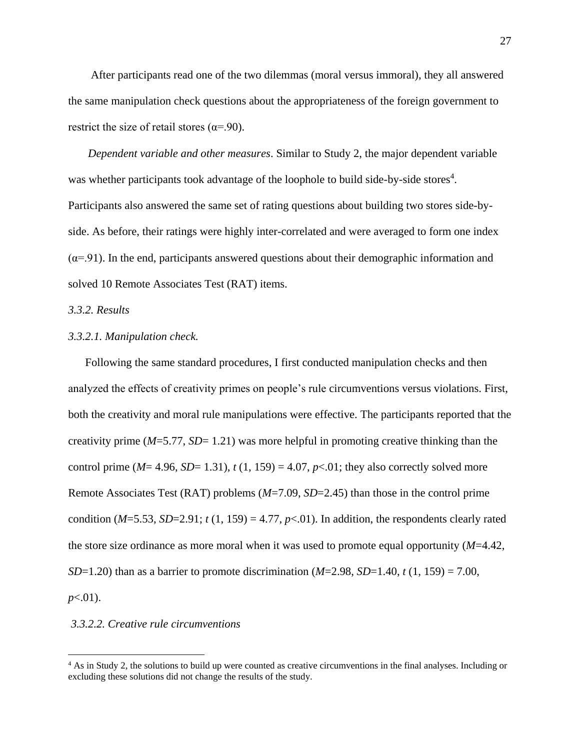After participants read one of the two dilemmas (moral versus immoral), they all answered the same manipulation check questions about the appropriateness of the foreign government to restrict the size of retail stores ( $\alpha$ =.90).

 *Dependent variable and other measures*. Similar to Study 2, the major dependent variable was whether participants took advantage of the loophole to build side-by-side stores<sup>4</sup>. Participants also answered the same set of rating questions about building two stores side-byside. As before, their ratings were highly inter-correlated and were averaged to form one index  $(\alpha=91)$ . In the end, participants answered questions about their demographic information and solved 10 Remote Associates Test (RAT) items.

*3.3.2. Results*

#### *3.3.2.1. Manipulation check.*

Following the same standard procedures, I first conducted manipulation checks and then analyzed the effects of creativity primes on people's rule circumventions versus violations. First, both the creativity and moral rule manipulations were effective. The participants reported that the creativity prime (*M*=5.77, *SD*= 1.21) was more helpful in promoting creative thinking than the control prime ( $M=4.96$ ,  $SD=1.31$ ),  $t(1, 159) = 4.07$ ,  $p<0.01$ ; they also correctly solved more Remote Associates Test (RAT) problems (*M*=7.09, *SD*=2.45) than those in the control prime condition  $(M=5.53, SD=2.91; t(1, 159) = 4.77, p<0.01$ . In addition, the respondents clearly rated the store size ordinance as more moral when it was used to promote equal opportunity (*M*=4.42, *SD*=1.20) than as a barrier to promote discrimination (*M*=2.98, *SD*=1.40, *t* (1, 159) = 7.00, *p*<.01).

### *3.3.2.2. Creative rule circumventions*

 $\overline{a}$ 

<sup>4</sup> As in Study 2, the solutions to build up were counted as creative circumventions in the final analyses. Including or excluding these solutions did not change the results of the study.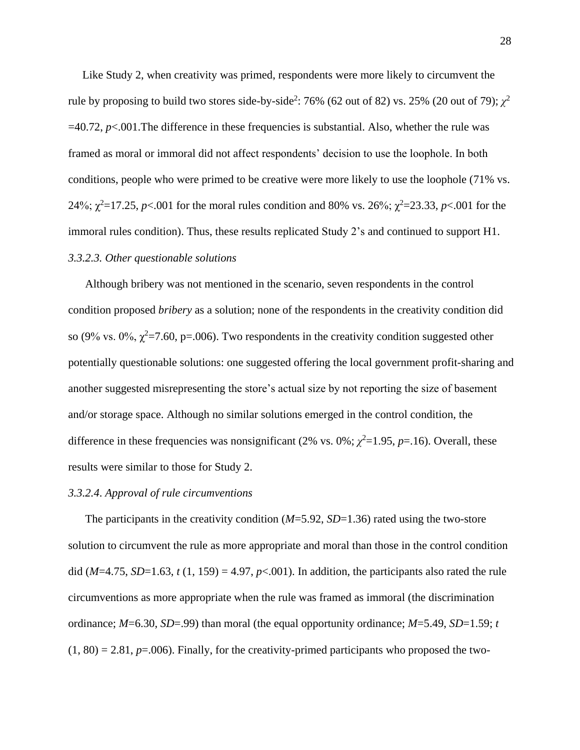Like Study 2, when creativity was primed, respondents were more likely to circumvent the rule by proposing to build two stores side-by-side<sup>2</sup>: 76% (62 out of 82) vs. 25% (20 out of 79);  $\chi^2$  $=40.72$ ,  $p<.001$ . The difference in these frequencies is substantial. Also, whether the rule was framed as moral or immoral did not affect respondents' decision to use the loophole. In both conditions, people who were primed to be creative were more likely to use the loophole (71% vs. 24%;  $\chi^2$ =17.25, *p*<.001 for the moral rules condition and 80% vs. 26%;  $\chi^2$ =23.33, *p*<.001 for the immoral rules condition). Thus, these results replicated Study 2's and continued to support H1. *3.3.2.3. Other questionable solutions*

 Although bribery was not mentioned in the scenario, seven respondents in the control condition proposed *bribery* as a solution; none of the respondents in the creativity condition did so (9% vs. 0%,  $\chi^2$ =7.60, p=.006). Two respondents in the creativity condition suggested other potentially questionable solutions: one suggested offering the local government profit-sharing and another suggested misrepresenting the store's actual size by not reporting the size of basement and/or storage space. Although no similar solutions emerged in the control condition, the difference in these frequencies was nonsignificant (2% vs. 0%;  $\chi^2$ =1.95, *p*=.16). Overall, these results were similar to those for Study 2.

#### *3.3.2.4*. *Approval of rule circumventions*

 The participants in the creativity condition (*M*=5.92, *SD*=1.36) rated using the two-store solution to circumvent the rule as more appropriate and moral than those in the control condition did (*M*=4.75, *SD*=1.63, *t* (1, 159) = 4.97, *p*<.001). In addition, the participants also rated the rule circumventions as more appropriate when the rule was framed as immoral (the discrimination ordinance; *M*=6.30, *SD*=.99) than moral (the equal opportunity ordinance; *M*=5.49, *SD*=1.59; *t*  $(1, 80) = 2.81$ ,  $p = .006$ ). Finally, for the creativity-primed participants who proposed the two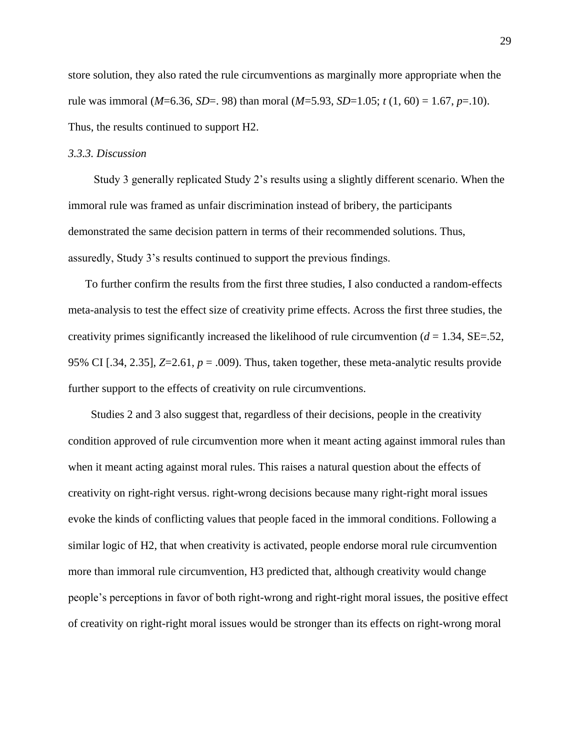store solution, they also rated the rule circumventions as marginally more appropriate when the rule was immoral (*M*=6.36, *SD*=. 98) than moral (*M*=5.93, *SD*=1.05; *t* (1, 60) = 1.67, *p*=.10). Thus, the results continued to support H2.

### *3.3.3. Discussion*

 Study 3 generally replicated Study 2's results using a slightly different scenario. When the immoral rule was framed as unfair discrimination instead of bribery, the participants demonstrated the same decision pattern in terms of their recommended solutions. Thus, assuredly, Study 3's results continued to support the previous findings.

 To further confirm the results from the first three studies, I also conducted a random-effects meta-analysis to test the effect size of creativity prime effects. Across the first three studies, the creativity primes significantly increased the likelihood of rule circumvention  $(d = 1.34, SE = .52)$ , 95% CI [.34, 2.35],  $Z=2.61$ ,  $p = .009$ ). Thus, taken together, these meta-analytic results provide further support to the effects of creativity on rule circumventions.

 Studies 2 and 3 also suggest that, regardless of their decisions, people in the creativity condition approved of rule circumvention more when it meant acting against immoral rules than when it meant acting against moral rules. This raises a natural question about the effects of creativity on right-right versus. right-wrong decisions because many right-right moral issues evoke the kinds of conflicting values that people faced in the immoral conditions. Following a similar logic of H2, that when creativity is activated, people endorse moral rule circumvention more than immoral rule circumvention, H3 predicted that, although creativity would change people's perceptions in favor of both right-wrong and right-right moral issues, the positive effect of creativity on right-right moral issues would be stronger than its effects on right-wrong moral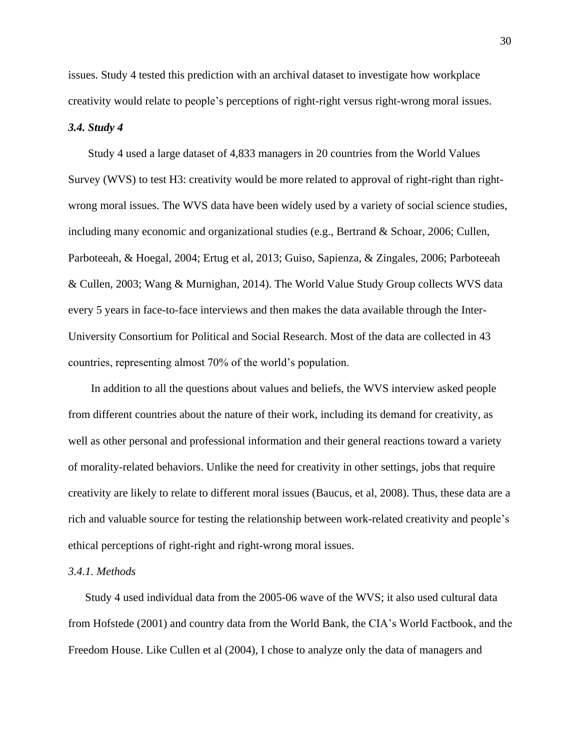issues. Study 4 tested this prediction with an archival dataset to investigate how workplace creativity would relate to people's perceptions of right-right versus right-wrong moral issues.

#### *3.4. Study 4*

 Study 4 used a large dataset of 4,833 managers in 20 countries from the World Values Survey (WVS) to test H3: creativity would be more related to approval of right-right than rightwrong moral issues. The WVS data have been widely used by a variety of social science studies, including many economic and organizational studies (e.g., Bertrand & Schoar, 2006; Cullen, Parboteeah, & Hoegal, 2004; Ertug et al, 2013; Guiso, Sapienza, & Zingales, 2006; Parboteeah & Cullen, 2003; Wang & Murnighan, 2014). The World Value Study Group collects WVS data every 5 years in face-to-face interviews and then makes the data available through the Inter-University Consortium for Political and Social Research. Most of the data are collected in 43 countries, representing almost 70% of the world's population.

 In addition to all the questions about values and beliefs, the WVS interview asked people from different countries about the nature of their work, including its demand for creativity, as well as other personal and professional information and their general reactions toward a variety of morality-related behaviors. Unlike the need for creativity in other settings, jobs that require creativity are likely to relate to different moral issues (Baucus, et al, 2008). Thus, these data are a rich and valuable source for testing the relationship between work-related creativity and people's ethical perceptions of right-right and right-wrong moral issues.

#### *3.4.1. Methods*

 Study 4 used individual data from the 2005-06 wave of the WVS; it also used cultural data from Hofstede (2001) and country data from the World Bank, the CIA's World Factbook, and the Freedom House. Like Cullen et al (2004), I chose to analyze only the data of managers and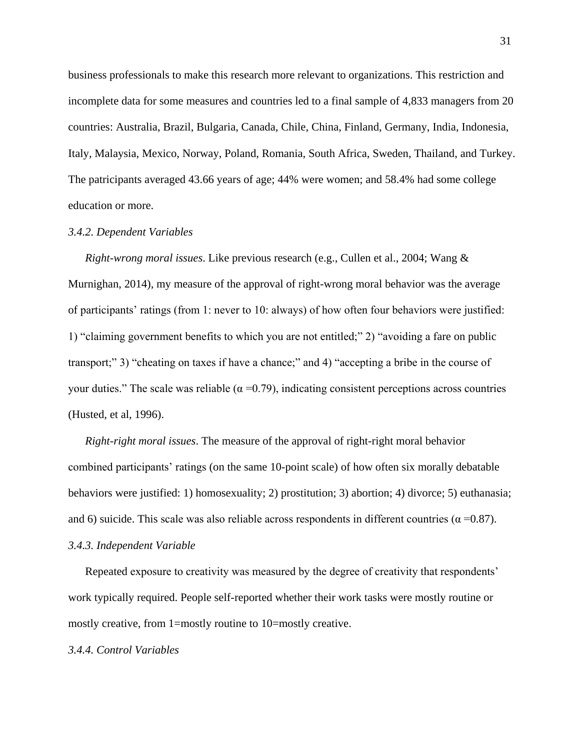business professionals to make this research more relevant to organizations. This restriction and incomplete data for some measures and countries led to a final sample of 4,833 managers from 20 countries: Australia, Brazil, Bulgaria, Canada, Chile, China, Finland, Germany, India, Indonesia, Italy, Malaysia, Mexico, Norway, Poland, Romania, South Africa, Sweden, Thailand, and Turkey. The patricipants averaged 43.66 years of age; 44% were women; and 58.4% had some college education or more.

#### *3.4.2. Dependent Variables*

 *Right-wrong moral issues*. Like previous research (e.g., Cullen et al., 2004; Wang & Murnighan, 2014), my measure of the approval of right-wrong moral behavior was the average of participants' ratings (from 1: never to 10: always) of how often four behaviors were justified: 1) "claiming government benefits to which you are not entitled;" 2) "avoiding a fare on public transport;" 3) "cheating on taxes if have a chance;" and 4) "accepting a bribe in the course of your duties." The scale was reliable ( $\alpha$  =0.79), indicating consistent perceptions across countries (Husted, et al, 1996).

 *Right-right moral issues*. The measure of the approval of right-right moral behavior combined participants' ratings (on the same 10-point scale) of how often six morally debatable behaviors were justified: 1) homosexuality; 2) prostitution; 3) abortion; 4) divorce; 5) euthanasia; and 6) suicide. This scale was also reliable across respondents in different countries ( $\alpha$  =0.87). *3.4.3. Independent Variable*

Repeated exposure to creativity was measured by the degree of creativity that respondents' work typically required. People self-reported whether their work tasks were mostly routine or mostly creative, from 1=mostly routine to 10=mostly creative.

#### *3.4.4. Control Variables*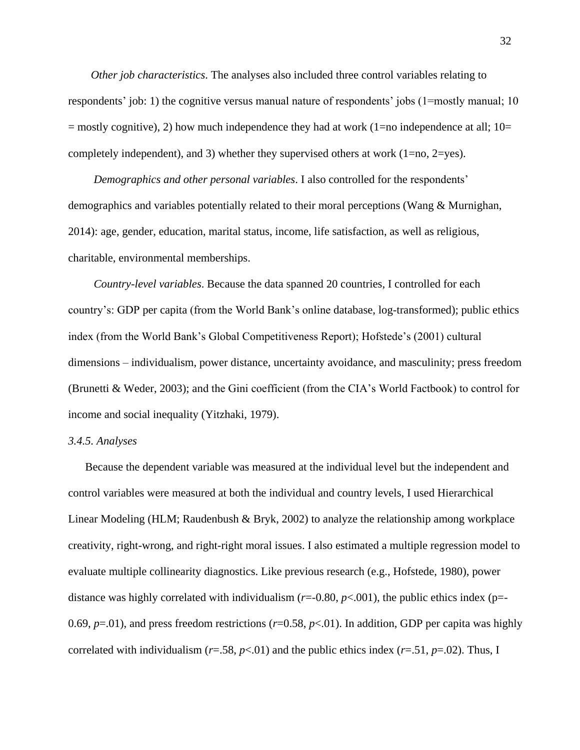*Other job characteristics*. The analyses also included three control variables relating to respondents' job: 1) the cognitive versus manual nature of respondents' jobs (1=mostly manual; 10  $=$  mostly cognitive), 2) how much independence they had at work (1=no independence at all; 10= completely independent), and 3) whether they supervised others at work (1=no, 2=yes).

 *Demographics and other personal variables*. I also controlled for the respondents' demographics and variables potentially related to their moral perceptions (Wang & Murnighan, 2014): age, gender, education, marital status, income, life satisfaction, as well as religious, charitable, environmental memberships.

 *Country-level variables*. Because the data spanned 20 countries, I controlled for each country's: GDP per capita (from the World Bank's online database, log-transformed); public ethics index (from the World Bank's Global Competitiveness Report); Hofstede's (2001) cultural dimensions – individualism, power distance, uncertainty avoidance, and masculinity; press freedom (Brunetti & Weder, 2003); and the Gini coefficient (from the CIA's World Factbook) to control for income and social inequality (Yitzhaki, 1979).

## *3.4.5. Analyses*

 Because the dependent variable was measured at the individual level but the independent and control variables were measured at both the individual and country levels, I used Hierarchical Linear Modeling (HLM; Raudenbush & Bryk, 2002) to analyze the relationship among workplace creativity, right-wrong, and right-right moral issues. I also estimated a multiple regression model to evaluate multiple collinearity diagnostics. Like previous research (e.g., Hofstede, 1980), power distance was highly correlated with individualism  $(r=-0.80, p<-0.01)$ , the public ethics index (p=-0.69,  $p=0.01$ ), and press freedom restrictions ( $r=0.58$ ,  $p<-0.01$ ). In addition, GDP per capita was highly correlated with individualism ( $r = .58$ ,  $p < .01$ ) and the public ethics index ( $r = .51$ ,  $p = .02$ ). Thus, I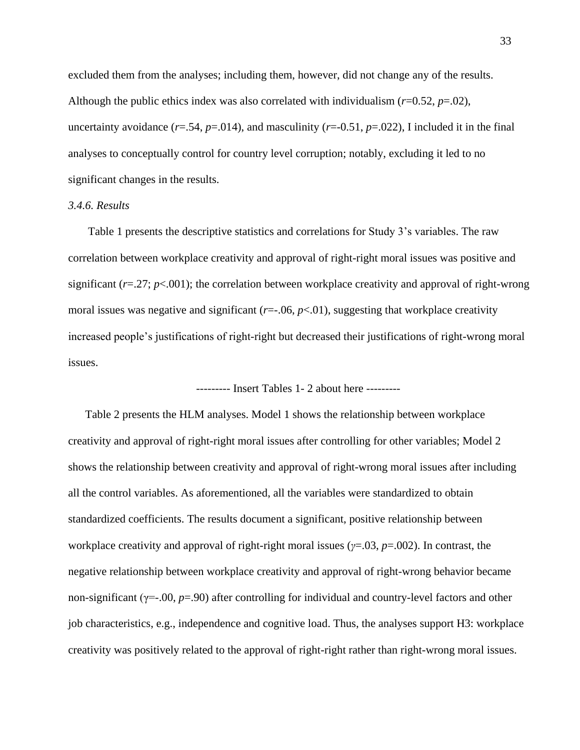excluded them from the analyses; including them, however, did not change any of the results. Although the public ethics index was also correlated with individualism (*r*=0.52, *p*=.02), uncertainty avoidance  $(r=.54, p=.014)$ , and masculinity  $(r=.0.51, p=.022)$ , I included it in the final analyses to conceptually control for country level corruption; notably, excluding it led to no significant changes in the results.

### *3.4.6. Results*

 Table 1 presents the descriptive statistics and correlations for Study 3's variables. The raw correlation between workplace creativity and approval of right-right moral issues was positive and significant  $(r=.27; p<.001)$ ; the correlation between workplace creativity and approval of right-wrong moral issues was negative and significant  $(r=.06, p<.01)$ , suggesting that workplace creativity increased people's justifications of right-right but decreased their justifications of right-wrong moral issues.

--------- Insert Tables 1- 2 about here ---------

 Table 2 presents the HLM analyses. Model 1 shows the relationship between workplace creativity and approval of right-right moral issues after controlling for other variables; Model 2 shows the relationship between creativity and approval of right-wrong moral issues after including all the control variables. As aforementioned, all the variables were standardized to obtain standardized coefficients. The results document a significant, positive relationship between workplace creativity and approval of right-right moral issues (*γ*=.03, *p*=.002). In contrast, the negative relationship between workplace creativity and approval of right-wrong behavior became non-significant (γ=-.00, *p*=.90) after controlling for individual and country-level factors and other job characteristics, e.g., independence and cognitive load. Thus, the analyses support H3: workplace creativity was positively related to the approval of right-right rather than right-wrong moral issues.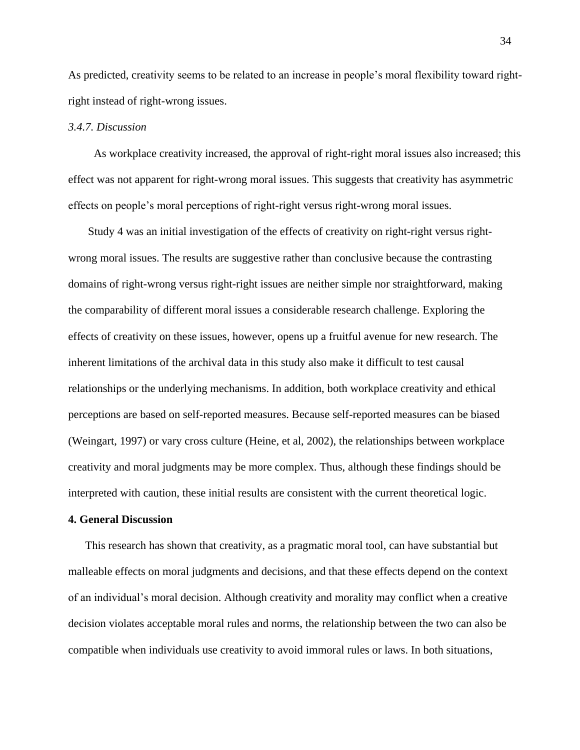As predicted, creativity seems to be related to an increase in people's moral flexibility toward rightright instead of right-wrong issues.

### *3.4.7. Discussion*

 As workplace creativity increased, the approval of right-right moral issues also increased; this effect was not apparent for right-wrong moral issues. This suggests that creativity has asymmetric effects on people's moral perceptions of right-right versus right-wrong moral issues.

 Study 4 was an initial investigation of the effects of creativity on right-right versus rightwrong moral issues. The results are suggestive rather than conclusive because the contrasting domains of right-wrong versus right-right issues are neither simple nor straightforward, making the comparability of different moral issues a considerable research challenge. Exploring the effects of creativity on these issues, however, opens up a fruitful avenue for new research. The inherent limitations of the archival data in this study also make it difficult to test causal relationships or the underlying mechanisms. In addition, both workplace creativity and ethical perceptions are based on self-reported measures. Because self-reported measures can be biased (Weingart, 1997) or vary cross culture (Heine, et al, 2002), the relationships between workplace creativity and moral judgments may be more complex. Thus, although these findings should be interpreted with caution, these initial results are consistent with the current theoretical logic.

#### **4. General Discussion**

 This research has shown that creativity, as a pragmatic moral tool, can have substantial but malleable effects on moral judgments and decisions, and that these effects depend on the context of an individual's moral decision. Although creativity and morality may conflict when a creative decision violates acceptable moral rules and norms, the relationship between the two can also be compatible when individuals use creativity to avoid immoral rules or laws. In both situations,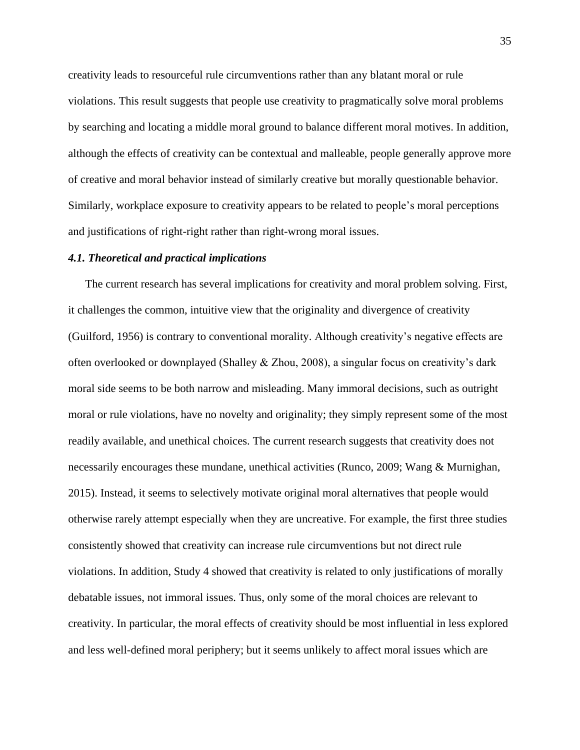creativity leads to resourceful rule circumventions rather than any blatant moral or rule violations. This result suggests that people use creativity to pragmatically solve moral problems by searching and locating a middle moral ground to balance different moral motives. In addition, although the effects of creativity can be contextual and malleable, people generally approve more of creative and moral behavior instead of similarly creative but morally questionable behavior. Similarly, workplace exposure to creativity appears to be related to people's moral perceptions and justifications of right-right rather than right-wrong moral issues.

#### *4.1. Theoretical and practical implications*

 The current research has several implications for creativity and moral problem solving. First, it challenges the common, intuitive view that the originality and divergence of creativity (Guilford, 1956) is contrary to conventional morality. Although creativity's negative effects are often overlooked or downplayed (Shalley & Zhou, 2008), a singular focus on creativity's dark moral side seems to be both narrow and misleading. Many immoral decisions, such as outright moral or rule violations, have no novelty and originality; they simply represent some of the most readily available, and unethical choices. The current research suggests that creativity does not necessarily encourages these mundane, unethical activities (Runco, 2009; Wang & Murnighan, 2015). Instead, it seems to selectively motivate original moral alternatives that people would otherwise rarely attempt especially when they are uncreative. For example, the first three studies consistently showed that creativity can increase rule circumventions but not direct rule violations. In addition, Study 4 showed that creativity is related to only justifications of morally debatable issues, not immoral issues. Thus, only some of the moral choices are relevant to creativity. In particular, the moral effects of creativity should be most influential in less explored and less well-defined moral periphery; but it seems unlikely to affect moral issues which are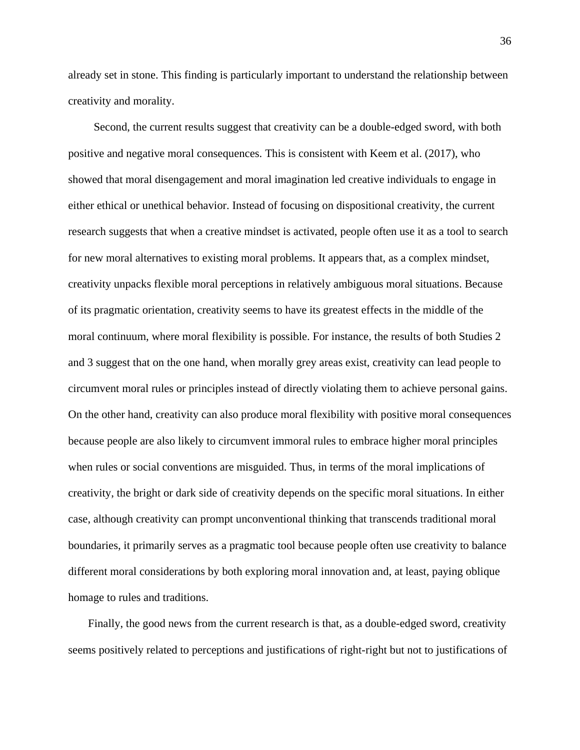already set in stone. This finding is particularly important to understand the relationship between creativity and morality.

 Second, the current results suggest that creativity can be a double-edged sword, with both positive and negative moral consequences. This is consistent with Keem et al. (2017), who showed that moral disengagement and moral imagination led creative individuals to engage in either ethical or unethical behavior. Instead of focusing on dispositional creativity, the current research suggests that when a creative mindset is activated, people often use it as a tool to search for new moral alternatives to existing moral problems. It appears that, as a complex mindset, creativity unpacks flexible moral perceptions in relatively ambiguous moral situations. Because of its pragmatic orientation, creativity seems to have its greatest effects in the middle of the moral continuum, where moral flexibility is possible. For instance, the results of both Studies 2 and 3 suggest that on the one hand, when morally grey areas exist, creativity can lead people to circumvent moral rules or principles instead of directly violating them to achieve personal gains. On the other hand, creativity can also produce moral flexibility with positive moral consequences because people are also likely to circumvent immoral rules to embrace higher moral principles when rules or social conventions are misguided. Thus, in terms of the moral implications of creativity, the bright or dark side of creativity depends on the specific moral situations. In either case, although creativity can prompt unconventional thinking that transcends traditional moral boundaries, it primarily serves as a pragmatic tool because people often use creativity to balance different moral considerations by both exploring moral innovation and, at least, paying oblique homage to rules and traditions.

 Finally, the good news from the current research is that, as a double-edged sword, creativity seems positively related to perceptions and justifications of right-right but not to justifications of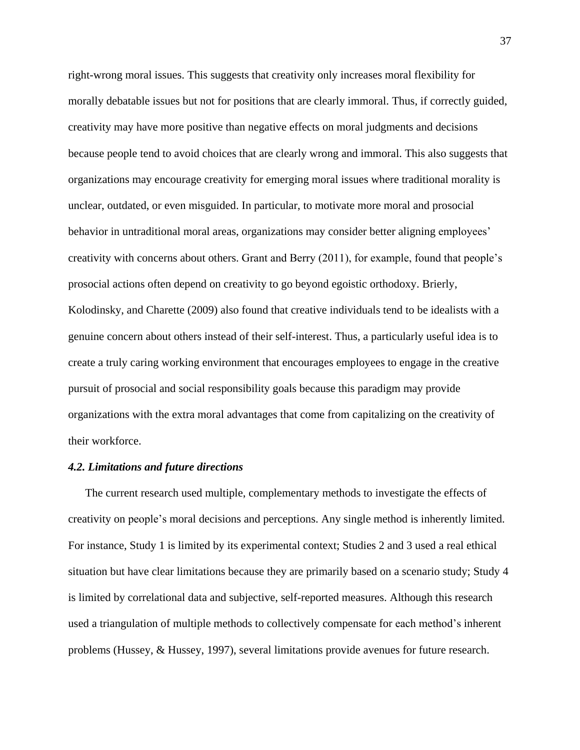right-wrong moral issues. This suggests that creativity only increases moral flexibility for morally debatable issues but not for positions that are clearly immoral. Thus, if correctly guided, creativity may have more positive than negative effects on moral judgments and decisions because people tend to avoid choices that are clearly wrong and immoral. This also suggests that organizations may encourage creativity for emerging moral issues where traditional morality is unclear, outdated, or even misguided. In particular, to motivate more moral and prosocial behavior in untraditional moral areas, organizations may consider better aligning employees' creativity with concerns about others. Grant and Berry (2011), for example, found that people's prosocial actions often depend on creativity to go beyond egoistic orthodoxy. Brierly, Kolodinsky, and Charette (2009) also found that creative individuals tend to be idealists with a genuine concern about others instead of their self-interest. Thus, a particularly useful idea is to create a truly caring working environment that encourages employees to engage in the creative pursuit of prosocial and social responsibility goals because this paradigm may provide organizations with the extra moral advantages that come from capitalizing on the creativity of their workforce.

### *4.2. Limitations and future directions*

 The current research used multiple, complementary methods to investigate the effects of creativity on people's moral decisions and perceptions. Any single method is inherently limited. For instance, Study 1 is limited by its experimental context; Studies 2 and 3 used a real ethical situation but have clear limitations because they are primarily based on a scenario study; Study 4 is limited by correlational data and subjective, self-reported measures. Although this research used a triangulation of multiple methods to collectively compensate for each method's inherent problems (Hussey, & Hussey, 1997), several limitations provide avenues for future research.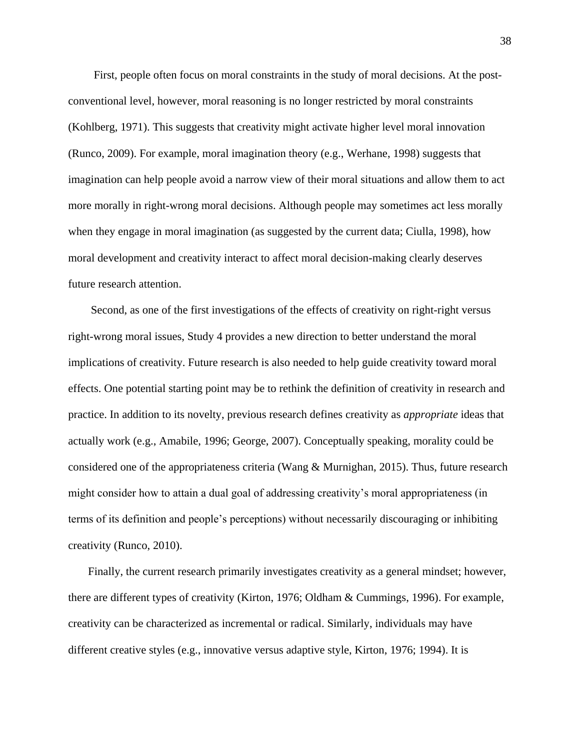First, people often focus on moral constraints in the study of moral decisions. At the postconventional level, however, moral reasoning is no longer restricted by moral constraints (Kohlberg, 1971). This suggests that creativity might activate higher level moral innovation (Runco, 2009). For example, moral imagination theory (e.g., Werhane, 1998) suggests that imagination can help people avoid a narrow view of their moral situations and allow them to act more morally in right-wrong moral decisions. Although people may sometimes act less morally when they engage in moral imagination (as suggested by the current data; Ciulla, 1998), how moral development and creativity interact to affect moral decision-making clearly deserves future research attention.

 Second, as one of the first investigations of the effects of creativity on right-right versus right-wrong moral issues, Study 4 provides a new direction to better understand the moral implications of creativity. Future research is also needed to help guide creativity toward moral effects. One potential starting point may be to rethink the definition of creativity in research and practice. In addition to its novelty, previous research defines creativity as *appropriate* ideas that actually work (e.g., Amabile, 1996; George, 2007). Conceptually speaking, morality could be considered one of the appropriateness criteria (Wang  $\&$  Murnighan, 2015). Thus, future research might consider how to attain a dual goal of addressing creativity's moral appropriateness (in terms of its definition and people's perceptions) without necessarily discouraging or inhibiting creativity (Runco, 2010).

 Finally, the current research primarily investigates creativity as a general mindset; however, there are different types of creativity (Kirton, 1976; Oldham & Cummings, 1996). For example, creativity can be characterized as incremental or radical. Similarly, individuals may have different creative styles (e.g., innovative versus adaptive style, Kirton, 1976; 1994). It is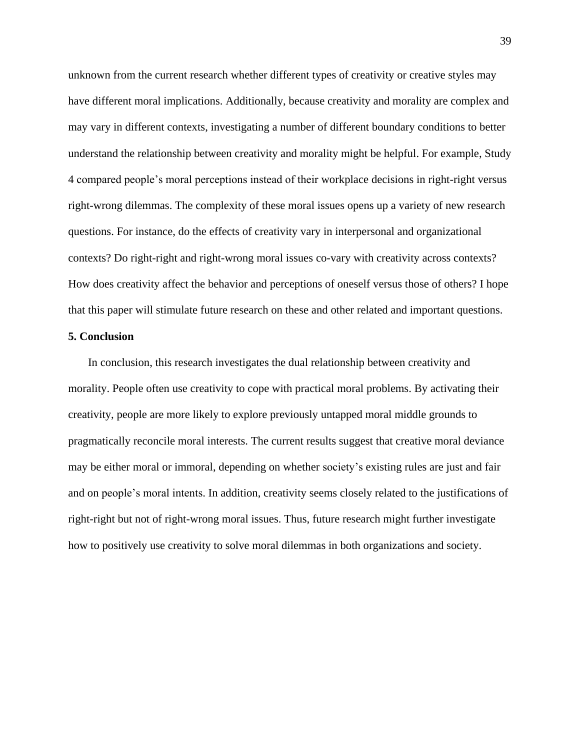unknown from the current research whether different types of creativity or creative styles may have different moral implications. Additionally, because creativity and morality are complex and may vary in different contexts, investigating a number of different boundary conditions to better understand the relationship between creativity and morality might be helpful. For example, Study 4 compared people's moral perceptions instead of their workplace decisions in right-right versus right-wrong dilemmas. The complexity of these moral issues opens up a variety of new research questions. For instance, do the effects of creativity vary in interpersonal and organizational contexts? Do right-right and right-wrong moral issues co-vary with creativity across contexts? How does creativity affect the behavior and perceptions of oneself versus those of others? I hope that this paper will stimulate future research on these and other related and important questions.

### **5. Conclusion**

 In conclusion, this research investigates the dual relationship between creativity and morality. People often use creativity to cope with practical moral problems. By activating their creativity, people are more likely to explore previously untapped moral middle grounds to pragmatically reconcile moral interests. The current results suggest that creative moral deviance may be either moral or immoral, depending on whether society's existing rules are just and fair and on people's moral intents. In addition, creativity seems closely related to the justifications of right-right but not of right-wrong moral issues. Thus, future research might further investigate how to positively use creativity to solve moral dilemmas in both organizations and society.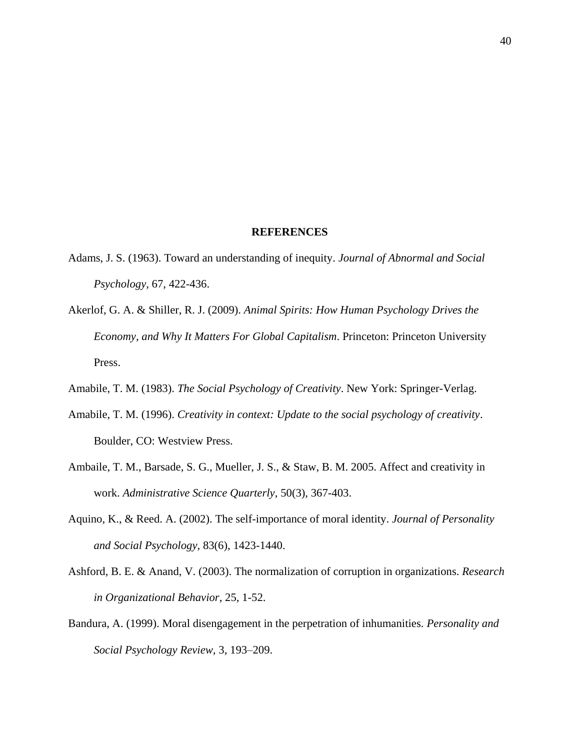#### **REFERENCES**

- Adams, J. S. (1963). Toward an understanding of inequity. *Journal of Abnormal and Social Psychology,* 67, 422-436.
- Akerlof, G. A. & Shiller, R. J. (2009). *Animal Spirits: How Human Psychology Drives the Economy, and Why It Matters For Global Capitalism*. Princeton: Princeton University Press.
- Amabile, T. M. (1983). *The Social Psychology of Creativity*. New York: Springer-Verlag.
- Amabile, T. M. (1996). *Creativity in context: Update to the social psychology of creativity*. Boulder, CO: Westview Press.
- Ambaile, T. M., Barsade, S. G., Mueller, J. S., & Staw, B. M. 2005. Affect and creativity in work. *Administrative Science Quarterly*, 50(3), 367-403.
- Aquino, K., & Reed. A. (2002). The self-importance of moral identity. *Journal of Personality and Social Psychology*, 83(6), 1423-1440.
- Ashford, B. E. & Anand, V. (2003). The normalization of corruption in organizations. *Research in Organizational Behavior*, 25, 1-52.
- Bandura, A. (1999). Moral disengagement in the perpetration of inhumanities. *Personality and Social Psychology Review,* 3, 193–209.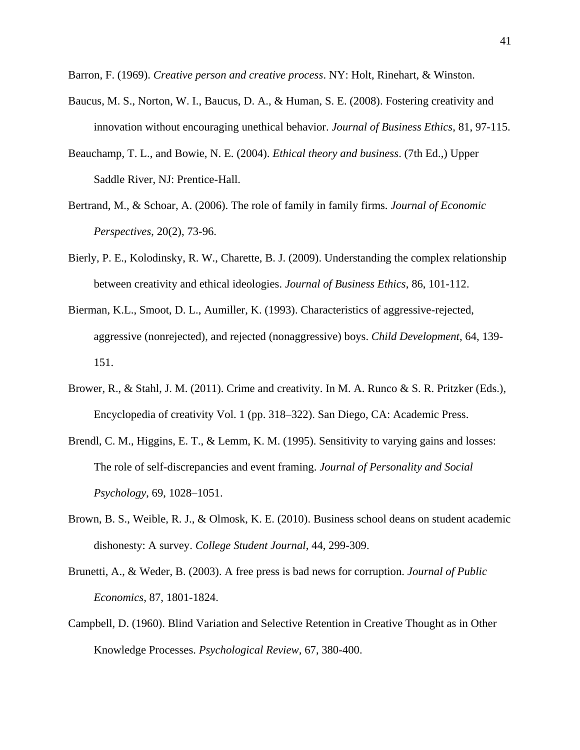Barron, F. (1969). *Creative person and creative process*. NY: Holt, Rinehart, & Winston.

- Baucus, M. S., Norton, W. I., Baucus, D. A., & Human, S. E. (2008). Fostering creativity and innovation without encouraging unethical behavior. *Journal of Business Ethics*, 81, 97-115.
- Beauchamp, T. L., and Bowie, N. E. (2004). *Ethical theory and business*. (7th Ed.,) Upper Saddle River, NJ: Prentice-Hall.
- Bertrand, M., & Schoar, A. (2006). The role of family in family firms. *Journal of Economic Perspectives*, 20(2), 73-96.
- Bierly, P. E., Kolodinsky, R. W., Charette, B. J. (2009). Understanding the complex relationship between creativity and ethical ideologies. *Journal of Business Ethics*, 86, 101-112.
- Bierman, K.L., Smoot, D. L., Aumiller, K. (1993). Characteristics of aggressive-rejected, aggressive (nonrejected), and rejected (nonaggressive) boys. *Child Development*, 64, 139- 151.
- Brower, R., & Stahl, J. M. (2011). Crime and creativity. In M. A. Runco & S. R. Pritzker (Eds.), Encyclopedia of creativity Vol. 1 (pp. 318–322). San Diego, CA: Academic Press.
- Brendl, C. M., Higgins, E. T., & Lemm, K. M. (1995). Sensitivity to varying gains and losses: The role of self-discrepancies and event framing. *Journal of Personality and Social Psychology*, 69, 1028–1051.
- Brown, B. S., Weible, R. J., & Olmosk, K. E. (2010). Business school deans on student academic dishonesty: A survey. *College Student Journal*, 44, 299-309.
- Brunetti, A., & Weder, B. (2003). A free press is bad news for corruption. *Journal of Public Economics*, 87, 1801-1824.
- Campbell, D. (1960). Blind Variation and Selective Retention in Creative Thought as in Other Knowledge Processes. *Psychological Review,* 67, 380-400.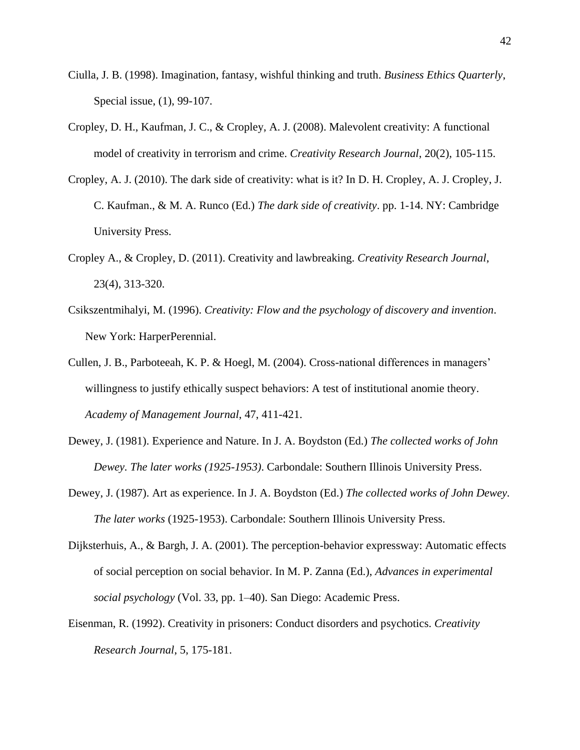- Ciulla, J. B. (1998). Imagination, fantasy, wishful thinking and truth. *Business Ethics Quarterly*, Special issue, (1), 99-107.
- Cropley, D. H., Kaufman, J. C., & Cropley, A. J. (2008). Malevolent creativity: A functional model of creativity in terrorism and crime. *Creativity Research Journal*, 20(2), 105-115.
- Cropley, A. J. (2010). The dark side of creativity: what is it? In D. H. Cropley, A. J. Cropley, J. C. Kaufman., & M. A. Runco (Ed.) *The dark side of creativity*. pp. 1-14. NY: Cambridge University Press.
- Cropley A., & Cropley, D. (2011). Creativity and lawbreaking. *Creativity Research Journal*, 23(4), 313-320.
- Csikszentmihalyi, M. (1996). *Creativity: Flow and the psychology of discovery and invention*. New York: HarperPerennial.
- Cullen, J. B., Parboteeah, K. P. & Hoegl, M. (2004). Cross-national differences in managers' willingness to justify ethically suspect behaviors: A test of institutional anomie theory. *Academy of Management Journal*, 47, 411-421.
- Dewey, J. (1981). Experience and Nature. In J. A. Boydston (Ed.) *The collected works of John Dewey. The later works (1925-1953)*. Carbondale: Southern Illinois University Press.
- Dewey, J. (1987). Art as experience. In J. A. Boydston (Ed.) *The collected works of John Dewey. The later works* (1925-1953). Carbondale: Southern Illinois University Press.
- Dijksterhuis, A., & Bargh, J. A. (2001). The perception-behavior expressway: Automatic effects of social perception on social behavior. In M. P. Zanna (Ed.), *Advances in experimental social psychology* (Vol. 33, pp. 1–40). San Diego: Academic Press.
- Eisenman, R. (1992). Creativity in prisoners: Conduct disorders and psychotics. *Creativity Research Journal*, 5, 175-181.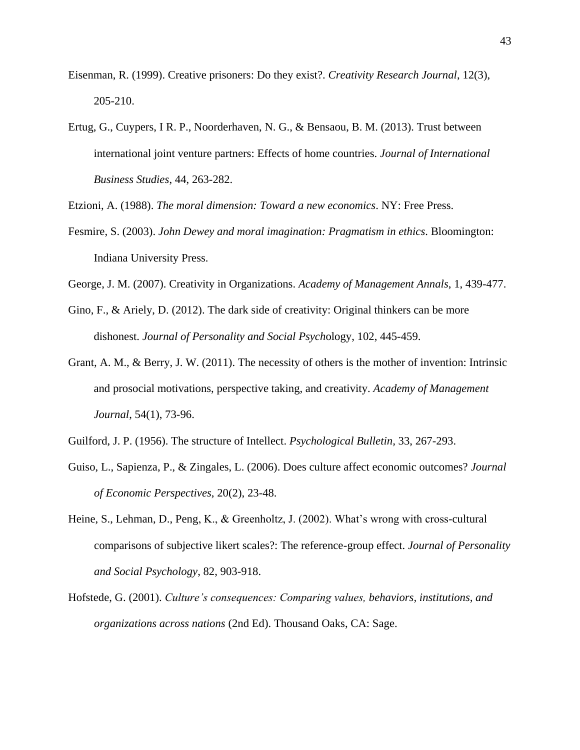- Eisenman, R. (1999). Creative prisoners: Do they exist?. *Creativity Research Journal*, 12(3), 205-210.
- Ertug, G., Cuypers, I R. P., Noorderhaven, N. G., & Bensaou, B. M. (2013). Trust between international joint venture partners: Effects of home countries. *Journal of International Business Studies*, 44, 263-282.

Etzioni, A. (1988). *The moral dimension: Toward a new economics*. NY: Free Press.

- Fesmire, S. (2003). *John Dewey and moral imagination: Pragmatism in ethics*. Bloomington: Indiana University Press.
- George, J. M. (2007). Creativity in Organizations. *Academy of Management Annals*, 1, 439-477.
- Gino, F., & Ariely, D. (2012). The dark side of creativity: Original thinkers can be more dishonest. *Journal of Personality and Social Psych*ology, 102, 445-459.
- Grant, A. M., & Berry, J. W. (2011). The necessity of others is the mother of invention: Intrinsic and prosocial motivations, perspective taking, and creativity. *Academy of Management Journal*, 54(1), 73-96.
- Guilford, J. P. (1956). The structure of Intellect. *Psychological Bulletin,* 33, 267-293.
- Guiso, L., Sapienza, P., & Zingales, L. (2006). Does culture affect economic outcomes? *Journal of Economic Perspectives*, 20(2), 23-48.
- Heine, S., Lehman, D., Peng, K., & Greenholtz, J. (2002). What's wrong with cross-cultural comparisons of subjective likert scales?: The reference-group effect. *Journal of Personality and Social Psychology*, 82, 903-918.
- Hofstede, G. (2001). *Culture's consequences: Comparing values, behaviors, institutions, and organizations across nations* (2nd Ed). Thousand Oaks, CA: Sage.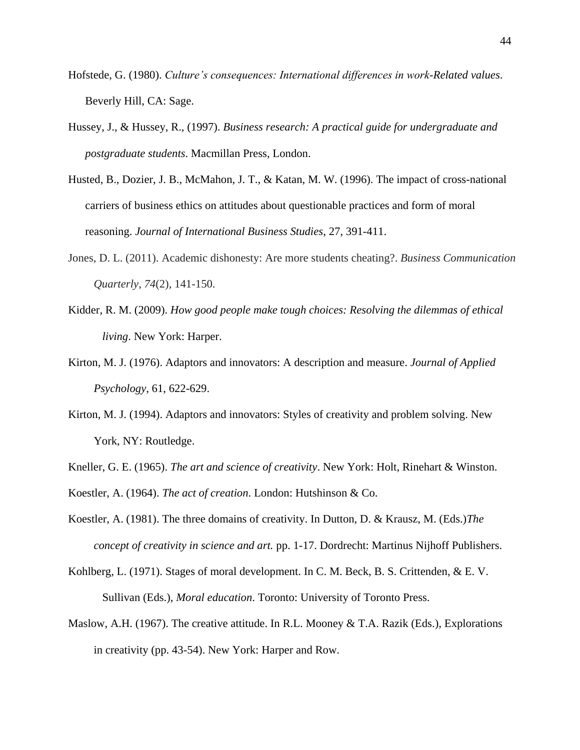- Hofstede, G. (1980). *Culture's consequences: International differences in work-Related values*. Beverly Hill, CA: Sage.
- Hussey, J., & Hussey, R., (1997). *Business research: A practical guide for undergraduate and postgraduate students*. Macmillan Press, London.
- Husted, B., Dozier, J. B., McMahon, J. T., & Katan, M. W. (1996). The impact of cross-national carriers of business ethics on attitudes about questionable practices and form of moral reasoning. *Journal of International Business Studies*, 27, 391-411.
- Jones, D. L. (2011). Academic dishonesty: Are more students cheating?. *Business Communication Quarterly*, *74*(2), 141-150.
- Kidder, R. M. (2009). *How good people make tough choices: Resolving the dilemmas of ethical living*. New York: Harper.
- Kirton, M. J. (1976). Adaptors and innovators: A description and measure. *Journal of Applied Psychology*, 61, 622-629.
- Kirton, M. J. (1994). Adaptors and innovators: Styles of creativity and problem solving. New York, NY: Routledge.
- Kneller, G. E. (1965). *The art and science of creativity*. New York: Holt, Rinehart & Winston.
- Koestler, A. (1964). *The act of creation*. London: Hutshinson & Co.
- Koestler, A. (1981). The three domains of creativity. In Dutton, D. & Krausz, M. (Eds.)*The concept of creativity in science and art.* pp. 1-17. Dordrecht: Martinus Nijhoff Publishers.
- Kohlberg, L. (1971). Stages of moral development. In C. M. Beck, B. S. Crittenden, & E. V. Sullivan (Eds.), *Moral education*. Toronto: University of Toronto Press.
- Maslow, A.H. (1967). The creative attitude. In R.L. Mooney & T.A. Razik (Eds.), Explorations in creativity (pp. 43-54). New York: Harper and Row.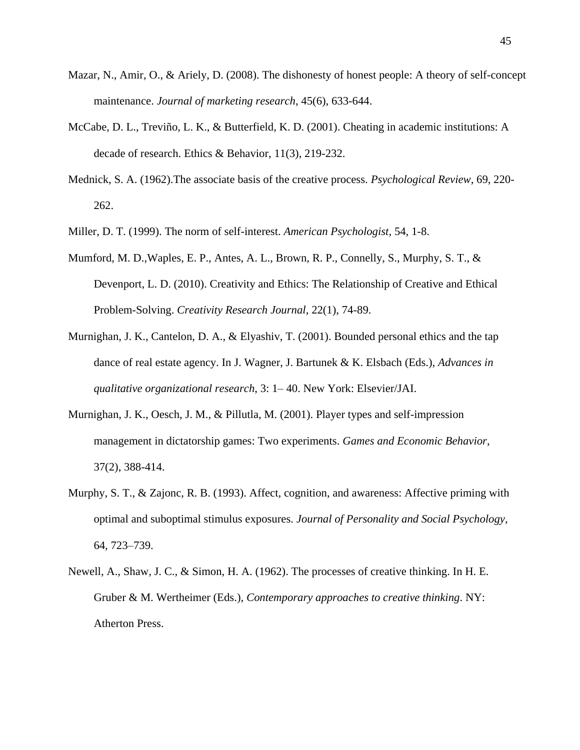- Mazar, N., Amir, O., & Ariely, D. (2008). The dishonesty of honest people: A theory of self-concept maintenance. *Journal of marketing research*, 45(6), 633-644.
- McCabe, D. L., Treviño, L. K., & Butterfield, K. D. (2001). Cheating in academic institutions: A decade of research. Ethics & Behavior, 11(3), 219-232.
- Mednick, S. A. (1962).The associate basis of the creative process. *Psychological Review*, 69, 220- 262.
- Miller, D. T. (1999). The norm of self-interest. *American Psychologist*, 54, 1-8.
- Mumford, M. D.,Waples, E. P., Antes, A. L., Brown, R. P., Connelly, S., Murphy, S. T., & Devenport, L. D. (2010). Creativity and Ethics: The Relationship of Creative and Ethical Problem-Solving. *Creativity Research Journal*, 22(1), 74-89.
- Murnighan, J. K., Cantelon, D. A., & Elyashiv, T. (2001). Bounded personal ethics and the tap dance of real estate agency. In J. Wagner, J. Bartunek & K. Elsbach (Eds.), *Advances in qualitative organizational research*, 3: 1– 40. New York: Elsevier/JAI.
- Murnighan, J. K., Oesch, J. M., & Pillutla, M. (2001). Player types and self-impression management in dictatorship games: Two experiments. *Games and Economic Behavior*, 37(2), 388-414.
- Murphy, S. T., & Zajonc, R. B. (1993). Affect, cognition, and awareness: Affective priming with optimal and suboptimal stimulus exposures. *Journal of Personality and Social Psychology*, 64, 723–739.
- Newell, A., Shaw, J. C., & Simon, H. A. (1962). The processes of creative thinking. In H. E. Gruber & M. Wertheimer (Eds.), *Contemporary approaches to creative thinking*. NY: Atherton Press.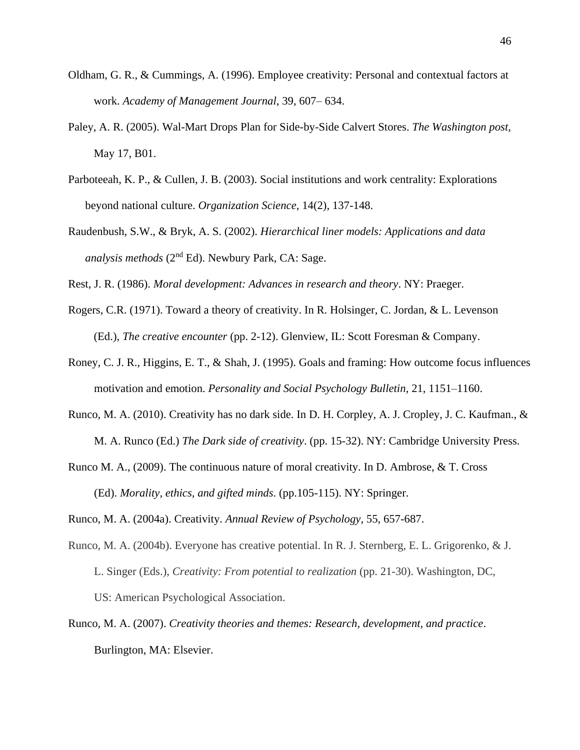- Oldham, G. R., & Cummings, A. (1996). Employee creativity: Personal and contextual factors at work. *Academy of Management Journal*, 39, 607– 634.
- Paley, A. R. (2005). Wal-Mart Drops Plan for Side-by-Side Calvert Stores. *The Washington post*, May 17, B01.
- Parboteeah, K. P., & Cullen, J. B. (2003). Social institutions and work centrality: Explorations beyond national culture. *Organization Science*, 14(2), 137-148.
- Raudenbush, S.W., & Bryk, A. S. (2002). *Hierarchical liner models: Applications and data analysis methods* (2nd Ed). Newbury Park, CA: Sage.
- Rest, J. R. (1986). *Moral development: Advances in research and theory*. NY: Praeger.
- Rogers, C.R. (1971). Toward a theory of creativity. In R. Holsinger, C. Jordan, & L. Levenson (Ed.), *The creative encounter* (pp. 2-12). Glenview, IL: Scott Foresman & Company.
- Roney, C. J. R., Higgins, E. T., & Shah, J. (1995). Goals and framing: How outcome focus influences motivation and emotion. *Personality and Social Psychology Bulletin*, 21, 1151–1160.
- Runco, M. A. (2010). Creativity has no dark side. In D. H. Corpley, A. J. Cropley, J. C. Kaufman., & M. A. Runco (Ed.) *The Dark side of creativity*. (pp. 15-32). NY: Cambridge University Press.
- Runco M. A., (2009). The continuous nature of moral creativity. In D. Ambrose, & T. Cross (Ed). *Morality, ethics, and gifted minds*. (pp.105-115). NY: Springer.
- Runco, M. A. (2004a). Creativity. *Annual Review of Psychology*, 55, 657-687.
- Runco, M. A. (2004b). Everyone has creative potential. In R. J. Sternberg, E. L. Grigorenko, & J. L. Singer (Eds.), *Creativity: From potential to realization* (pp. 21-30). Washington, DC, US: American Psychological Association.
- Runco, M. A. (2007). *Creativity theories and themes: Research, development, and practice*. Burlington, MA: Elsevier.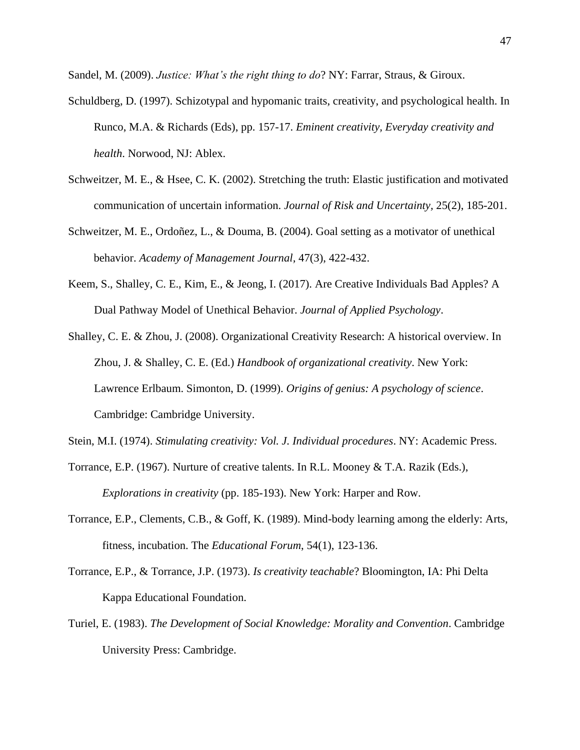Sandel, M. (2009). *Justice: What's the right thing to do*? NY: Farrar, Straus, & Giroux.

- Schuldberg, D. (1997). Schizotypal and hypomanic traits, creativity, and psychological health. In Runco, M.A. & Richards (Eds), pp. 157-17. *Eminent creativity, Everyday creativity and health*. Norwood, NJ: Ablex.
- Schweitzer, M. E., & Hsee, C. K. (2002). Stretching the truth: Elastic justification and motivated communication of uncertain information. *Journal of Risk and Uncertainty,* 25(2), 185-201.
- Schweitzer, M. E., Ordoñez, L., & Douma, B. (2004). Goal setting as a motivator of unethical behavior. *Academy of Management Journal,* 47(3), 422-432.
- Keem, S., Shalley, C. E., Kim, E., & Jeong, I. (2017). Are Creative Individuals Bad Apples? A Dual Pathway Model of Unethical Behavior. *Journal of Applied Psychology*.
- Shalley, C. E. & Zhou, J. (2008). Organizational Creativity Research: A historical overview. In Zhou, J. & Shalley, C. E. (Ed.) *Handbook of organizational creativity*. New York: Lawrence Erlbaum. Simonton, D. (1999). *Origins of genius: A psychology of science*. Cambridge: Cambridge University.
- Stein, M.I. (1974). *Stimulating creativity: Vol. J. Individual procedures*. NY: Academic Press.
- Torrance, E.P. (1967). Nurture of creative talents. In R.L. Mooney & T.A. Razik (Eds.), *Explorations in creativity* (pp. 185-193). New York: Harper and Row.
- Torrance, E.P., Clements, C.B., & Goff, K. (1989). Mind-body learning among the elderly: Arts, fitness, incubation. The *Educational Forum*, 54(1), 123-136.
- Torrance, E.P., & Torrance, J.P. (1973). *Is creativity teachable*? Bloomington, IA: Phi Delta Kappa Educational Foundation.
- Turiel, E. (1983). *The Development of Social Knowledge: Morality and Convention*. Cambridge University Press: Cambridge.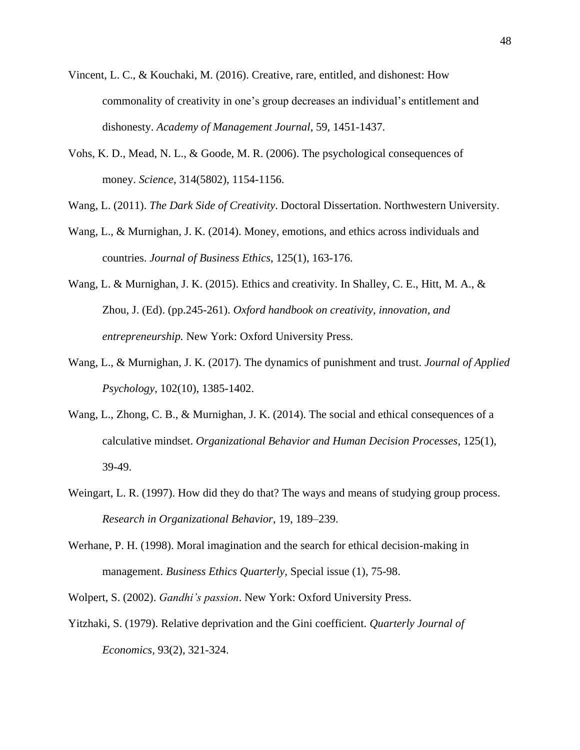- Vincent, L. C., & Kouchaki, M. (2016). Creative, rare, entitled, and dishonest: How commonality of creativity in one's group decreases an individual's entitlement and dishonesty. *Academy of Management Journal*, 59, 1451-1437.
- Vohs, K. D., Mead, N. L., & Goode, M. R. (2006). The psychological consequences of money. *Science*, 314(5802), 1154-1156.
- Wang, L. (2011). *The Dark Side of Creativity*. Doctoral Dissertation. Northwestern University.
- Wang, L., & Murnighan, J. K. (2014). Money, emotions, and ethics across individuals and countries. *Journal of Business Ethics*, 125(1), 163-176.
- Wang, L. & Murnighan, J. K. (2015). Ethics and creativity. In Shalley, C. E., Hitt, M. A., & Zhou, J. (Ed). (pp.245-261). *Oxford handbook on creativity, innovation, and entrepreneurship.* New York: Oxford University Press.
- Wang, L., & Murnighan, J. K. (2017). The dynamics of punishment and trust. *Journal of Applied Psychology*, 102(10), 1385-1402.
- Wang, L., Zhong, C. B., & Murnighan, J. K. (2014). The social and ethical consequences of a calculative mindset. *Organizational Behavior and Human Decision Processes*, 125(1), 39-49.
- Weingart, L. R. (1997). How did they do that? The ways and means of studying group process. *Research in Organizational Behavior*, 19, 189–239.
- Werhane, P. H. (1998). Moral imagination and the search for ethical decision-making in management. *Business Ethics Quarterly,* Special issue (1), 75-98.
- Wolpert, S. (2002). *Gandhi's passion*. New York: Oxford University Press.
- Yitzhaki, S. (1979). Relative deprivation and the Gini coefficient. *Quarterly Journal of Economics,* 93(2), 321-324.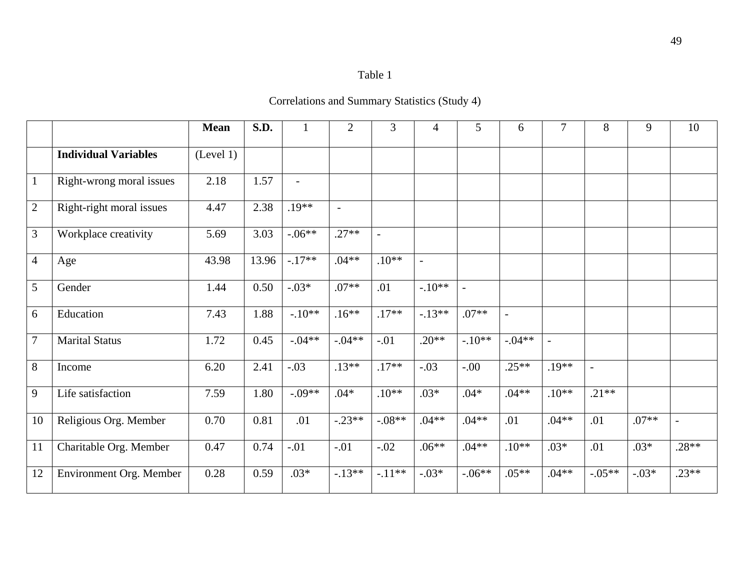| anie |  |
|------|--|
|------|--|

Correlations and Summary Statistics (Study 4)

|                |                             | <b>Mean</b> | S.D.  | $\mathbf{1}$   | $\overline{2}$ | 3                        | $\overline{4}$ | 5              | 6              | $\tau$                   | 8              | 9       | 10             |
|----------------|-----------------------------|-------------|-------|----------------|----------------|--------------------------|----------------|----------------|----------------|--------------------------|----------------|---------|----------------|
|                | <b>Individual Variables</b> | (Level 1)   |       |                |                |                          |                |                |                |                          |                |         |                |
| $\mathbf{1}$   | Right-wrong moral issues    | 2.18        | 1.57  | $\blacksquare$ |                |                          |                |                |                |                          |                |         |                |
| $\overline{2}$ | Right-right moral issues    | 4.47        | 2.38  | $.19**$        | $\blacksquare$ |                          |                |                |                |                          |                |         |                |
| 3              | Workplace creativity        | 5.69        | 3.03  | $-.06**$       | $.27**$        | $\overline{\phantom{a}}$ |                |                |                |                          |                |         |                |
| $\overline{4}$ | Age                         | 43.98       | 13.96 | $-.17**$       | $.04**$        | $.10**$                  | $\sim$         |                |                |                          |                |         |                |
| 5              | Gender                      | 1.44        | 0.50  | $-.03*$        | $.07**$        | .01                      | $-.10**$       | $\overline{a}$ |                |                          |                |         |                |
| 6              | Education                   | 7.43        | 1.88  | $-.10**$       | $.16**$        | $.17**$                  | $-.13**$       | $.07**$        | $\overline{a}$ |                          |                |         |                |
| $\overline{7}$ | <b>Marital Status</b>       | 1.72        | 0.45  | $-.04**$       | $-.04**$       | $-.01$                   | $.20**$        | $-.10**$       | $-.04**$       | $\overline{\phantom{a}}$ |                |         |                |
| 8              | Income                      | 6.20        | 2.41  | $-.03$         | $.13**$        | $.17**$                  | $-.03$         | $-00.$         | $.25**$        | $.19**$                  | $\overline{a}$ |         |                |
| 9              | Life satisfaction           | 7.59        | 1.80  | $-.09**$       | $.04*$         | $.10**$                  | $.03*$         | $.04*$         | $.04**$        | $.10**$                  | $.21**$        |         |                |
| 10             | Religious Org. Member       | 0.70        | 0.81  | .01            | $-.23**$       | $-.08**$                 | $.04**$        | $.04**$        | .01            | $.04**$                  | .01            | $.07**$ | $\blacksquare$ |
| 11             | Charitable Org. Member      | 0.47        | 0.74  | $-.01$         | $-.01$         | $-.02$                   | $.06**$        | $.04**$        | $.10**$        | $.03*$                   | .01            | $.03*$  | $.28**$        |
| 12             | Environment Org. Member     | 0.28        | 0.59  | $.03*$         | $-13**$        | $-.11**$                 | $-.03*$        | $-.06**$       | $.05**$        | $.04**$                  | $-.05**$       | $-.03*$ | $.23**$        |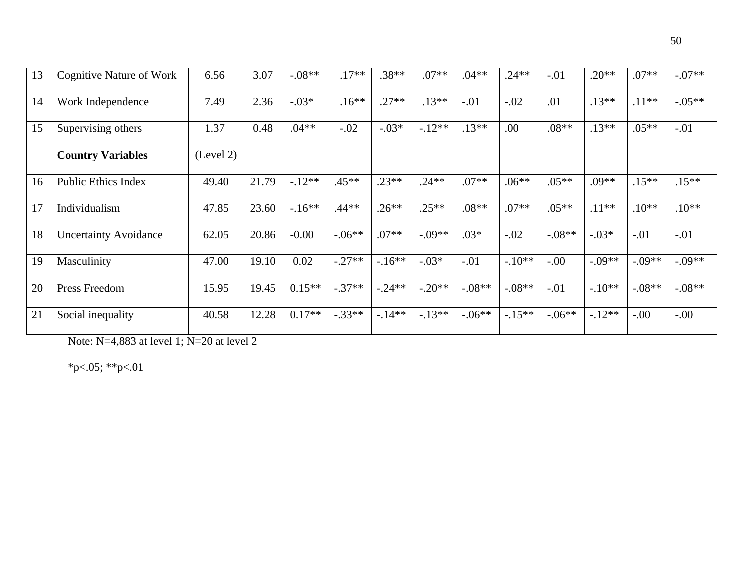| 13 | Cognitive Nature of Work     | 6.56      | 3.07  | $-.08**$ | $.17**$  | $.38**$  | $.07**$  | $.04**$  | $.24**$  | $-.01$   | $.20**$  | $.07**$  | $-.07**$ |
|----|------------------------------|-----------|-------|----------|----------|----------|----------|----------|----------|----------|----------|----------|----------|
| 14 | Work Independence            | 7.49      | 2.36  | $-.03*$  | $.16**$  | $.27**$  | $.13**$  | $-.01$   | $-.02$   | .01      | $.13**$  | $.11**$  | $-.05**$ |
| 15 | Supervising others           | 1.37      | 0.48  | $.04**$  | $-.02$   | $-.03*$  | $-12**$  | $.13**$  | .00      | $.08**$  | $.13**$  | $.05**$  | $-.01$   |
|    | <b>Country Variables</b>     | (Level 2) |       |          |          |          |          |          |          |          |          |          |          |
| 16 | <b>Public Ethics Index</b>   | 49.40     | 21.79 | $-.12**$ | $.45**$  | $.23**$  | $.24**$  | $.07**$  | $.06**$  | $.05**$  | $.09**$  | $.15**$  | $.15**$  |
| 17 | Individualism                | 47.85     | 23.60 | $-16**$  | $.44**$  | $.26**$  | $.25**$  | $.08**$  | $.07**$  | $.05**$  | $.11**$  | $.10**$  | $.10**$  |
| 18 | <b>Uncertainty Avoidance</b> | 62.05     | 20.86 | $-0.00$  | $-.06**$ | $.07**$  | $-.09**$ | $.03*$   | $-.02$   | $-.08**$ | $-.03*$  | $-.01$   | $-.01$   |
| 19 | Masculinity                  | 47.00     | 19.10 | 0.02     | $-.27**$ | $-16**$  | $-.03*$  | $-.01$   | $-.10**$ | $-.00$   | $-.09**$ | $-.09**$ | $-.09**$ |
| 20 | Press Freedom                | 15.95     | 19.45 | $0.15**$ | $-.37**$ | $-.24**$ | $-.20**$ | $-.08**$ | $-.08**$ | $-.01$   | $-.10**$ | $-.08**$ | $-.08**$ |
| 21 | Social inequality            | 40.58     | 12.28 | $0.17**$ | $-.33**$ | $-14**$  | $-13**$  | $-.06**$ | $-.15**$ | $-.06**$ | $-.12**$ | $-.00$   | $-0.00$  |

Note: N=4,883 at level 1; N=20 at level 2

 $*p<.05; **p<.01$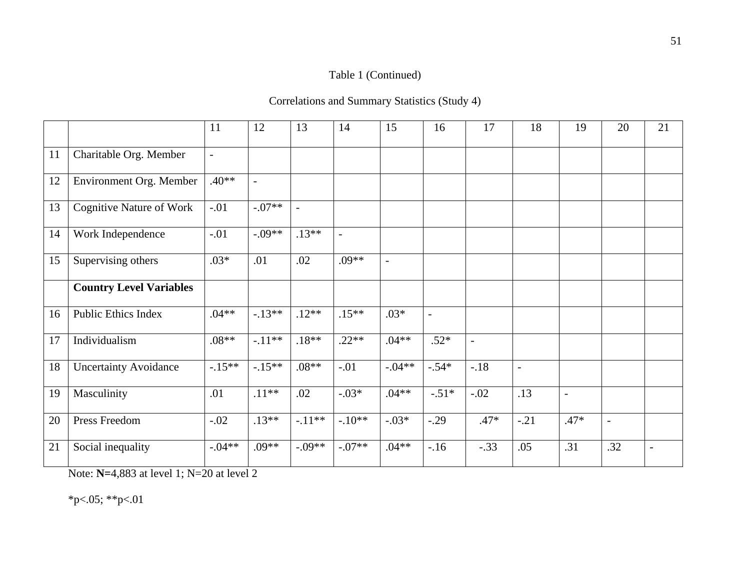# Table 1 (Continued)

# Correlations and Summary Statistics (Study 4)

|    |                                 | 11                       | 12                       | 13       | 14       | 15             | 16                       | 17             | 18             | 19                       | 20                       | 21             |
|----|---------------------------------|--------------------------|--------------------------|----------|----------|----------------|--------------------------|----------------|----------------|--------------------------|--------------------------|----------------|
| 11 | Charitable Org. Member          | $\overline{\phantom{a}}$ |                          |          |          |                |                          |                |                |                          |                          |                |
| 12 | Environment Org. Member         | $.40**$                  | $\overline{\phantom{a}}$ |          |          |                |                          |                |                |                          |                          |                |
| 13 | <b>Cognitive Nature of Work</b> | $-.01$                   | $-.07**$                 |          |          |                |                          |                |                |                          |                          |                |
| 14 | Work Independence               | $-.01$                   | $-.09**$                 | $.13**$  |          |                |                          |                |                |                          |                          |                |
| 15 | Supervising others              | $.03*$                   | .01                      | .02      | $.09**$  | $\blacksquare$ |                          |                |                |                          |                          |                |
|    | <b>Country Level Variables</b>  |                          |                          |          |          |                |                          |                |                |                          |                          |                |
| 16 | <b>Public Ethics Index</b>      | $.04**$                  | $-.13**$                 | $.12**$  | $.15***$ | $.03*$         | $\overline{\phantom{a}}$ |                |                |                          |                          |                |
| 17 | Individualism                   | $.08**$                  | $-.11**$                 | $.18**$  | $.22**$  | $.04**$        | $.52*$                   | $\overline{a}$ |                |                          |                          |                |
| 18 | <b>Uncertainty Avoidance</b>    | $-.15**$                 | $-.15**$                 | $.08**$  | $-.01$   | $-.04**$       | $-.54*$                  | $-.18$         | $\blacksquare$ |                          |                          |                |
| 19 | Masculinity                     | .01                      | $.11**$                  | .02      | $-.03*$  | $.04**$        | $-.51*$                  | $-.02$         | .13            | $\overline{\phantom{a}}$ |                          |                |
| 20 | Press Freedom                   | $-.02$                   | $.13**$                  | $-.11**$ | $-.10**$ | $-.03*$        | $-.29$                   | $.47*$         | $-.21$         | $.47*$                   | $\overline{\phantom{a}}$ |                |
| 21 | Social inequality               | $-.04**$                 | $.09**$                  | $-.09**$ | $-.07**$ | $.04**$        | $-16$                    | $-.33$         | .05            | .31                      | .32                      | $\blacksquare$ |

Note: **N=**4,883 at level 1; N=20 at level 2

 $*p<.05; **p<.01$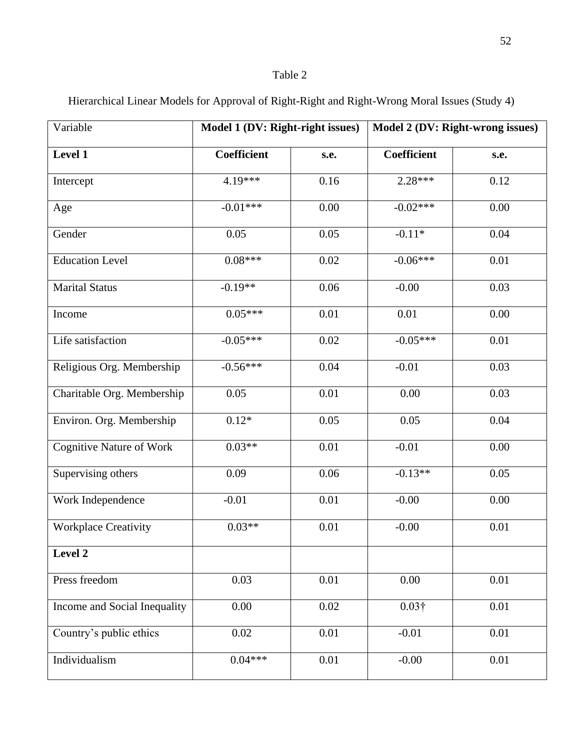# Table 2

Hierarchical Linear Models for Approval of Right-Right and Right-Wrong Moral Issues (Study 4)

| Variable                        | Model 1 (DV: Right-right issues) |          | Model 2 (DV: Right-wrong issues) |          |  |  |
|---------------------------------|----------------------------------|----------|----------------------------------|----------|--|--|
| Level $\overline{1}$            | Coefficient                      | s.e.     | Coefficient                      | s.e.     |  |  |
| Intercept                       | 4.19***                          | 0.16     | $2.28***$                        | 0.12     |  |  |
| Age                             | $-0.01***$                       | 0.00     | $-0.02***$                       | 0.00     |  |  |
| Gender                          | 0.05                             | 0.05     | $-0.11*$                         | 0.04     |  |  |
| <b>Education Level</b>          | $0.08***$                        | 0.02     | $-0.06***$                       | 0.01     |  |  |
| <b>Marital Status</b>           | $-0.19**$                        | 0.06     | $-0.00$                          | 0.03     |  |  |
| Income                          | $0.05***$                        | 0.01     | 0.01                             | 0.00     |  |  |
| Life satisfaction               | $-0.05***$                       | 0.02     | $-0.05***$                       | 0.01     |  |  |
| Religious Org. Membership       | $-0.56***$                       | 0.04     | $-0.01$                          | 0.03     |  |  |
| Charitable Org. Membership      | 0.05                             | 0.01     | 0.00                             | 0.03     |  |  |
| Environ. Org. Membership        | $0.12*$                          | 0.05     | 0.05                             | $0.04\,$ |  |  |
| <b>Cognitive Nature of Work</b> | $0.03**$                         | 0.01     | $-0.01$                          | 0.00     |  |  |
| Supervising others              | 0.09                             | 0.06     | $-0.13**$                        | 0.05     |  |  |
| Work Independence               | $-0.01$                          | $0.01\,$ | $-0.00$                          | $0.00\,$ |  |  |
| <b>Workplace Creativity</b>     | $0.03**$                         | 0.01     | $-0.00$                          | 0.01     |  |  |
| Level 2                         |                                  |          |                                  |          |  |  |
| Press freedom                   | 0.03                             | 0.01     | 0.00                             | 0.01     |  |  |
| Income and Social Inequality    | 0.00                             | 0.02     | $0.03\dagger$                    | 0.01     |  |  |
| Country's public ethics         | 0.02                             | 0.01     | $-0.01$                          | 0.01     |  |  |
| Individualism                   | $0.04***$                        | $0.01\,$ | $-0.00$                          | 0.01     |  |  |